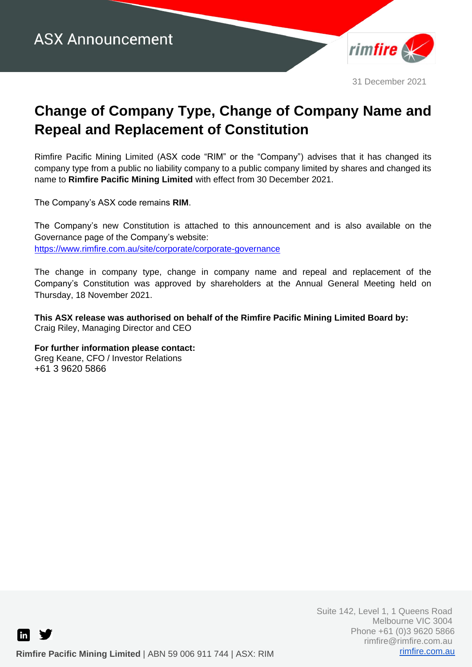

31 December 2021

# **Change of Company Type, Change of Company Name and Repeal and Replacement of Constitution**

Rimfire Pacific Mining Limited (ASX code "RIM" or the "Company") advises that it has changed its company type from a public no liability company to a public company limited by shares and changed its name to **Rimfire Pacific Mining Limited** with effect from 30 December 2021.

The Company's ASX code remains **RIM**.

The Company's new Constitution is attached to this announcement and is also available on the Governance page of the Company's website: <https://www.rimfire.com.au/site/corporate/corporate-governance>

The change in company type, change in company name and repeal and replacement of the Company's Constitution was approved by shareholders at the Annual General Meeting held on Thursday, 18 November 2021.

**This ASX release was authorised on behalf of the Rimfire Pacific Mining Limited Board by:** Craig Riley, Managing Director and CEO

**For further information please contact:**

Greg Keane, CFO / Investor Relations +61 3 9620 5866

in l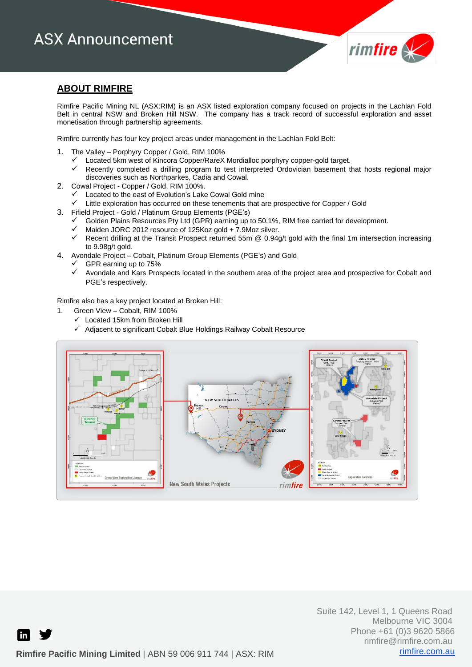# **ASX Announcement**



#### **ABOUT RIMFIRE**

Rimfire Pacific Mining NL (ASX:RIM) is an ASX listed exploration company focused on projects in the Lachlan Fold Belt in central NSW and Broken Hill NSW. The company has a track record of successful exploration and asset monetisation through partnership agreements.

Rimfire currently has four key project areas under management in the Lachlan Fold Belt:

- 1. The Valley Porphyry Copper / Gold, RIM 100%
	- ✓ Located 5km west of Kincora Copper/RareX Mordialloc porphyry copper-gold target.
	- Recently completed a drilling program to test interpreted Ordovician basement that hosts regional major discoveries such as Northparkes, Cadia and Cowal.
- 2. Cowal Project Copper / Gold, RIM 100%.
	- Located to the east of Evolution's Lake Cowal Gold mine
	- ✓ Little exploration has occurred on these tenements that are prospective for Copper / Gold
- 3. Fifield Project Gold / Platinum Group Elements (PGE's)
	- Golden Plains Resources Pty Ltd (GPR) earning up to 50.1%, RIM free carried for development.
	- Maiden JORC 2012 resource of 125Koz gold + 7.9Moz silver.
	- ✓ Recent drilling at the Transit Prospect returned 55m @ 0.94g/t gold with the final 1m intersection increasing to 9.98g/t gold.
- 4. Avondale Project Cobalt, Platinum Group Elements (PGE's) and Gold
	- GPR earning up to 75%
	- ✓ Avondale and Kars Prospects located in the southern area of the project area and prospective for Cobalt and PGE's respectively.

Rimfire also has a key project located at Broken Hill:

- 1. Green View Cobalt, RIM 100%
	- ✓ Located 15km from Broken Hill
	- ✓ Adjacent to significant Cobalt Blue Holdings Railway Cobalt Resource



in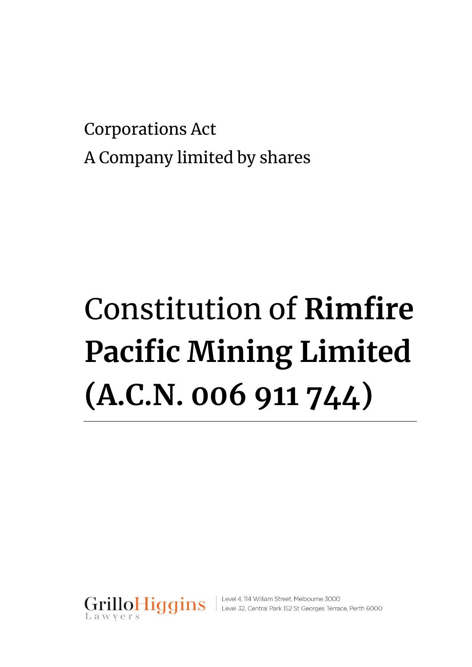Corporations Act A Company limited by shares

# Constitution of **Rimfire Pacific Mining Limited (A.C.N. 006 911 744)**



GrilloHiggins | Level 4, 114 William Street, Melbourne 3000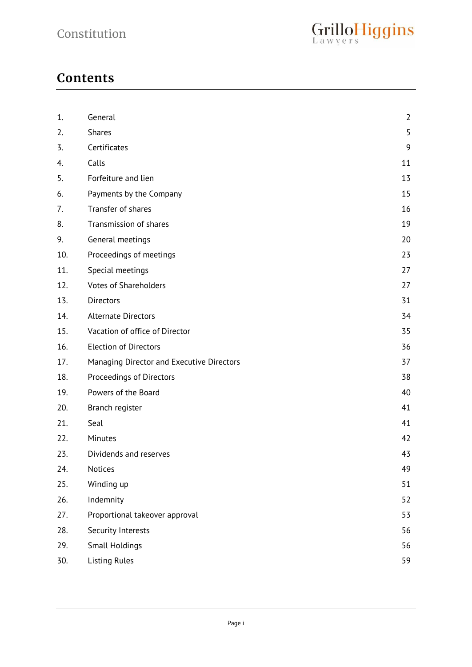# **Contents**

| 5<br>2.<br><b>Shares</b><br>9<br>Certificates<br>3.<br>Calls<br>11<br>4.<br>Forfeiture and lien<br>5.<br>13<br>15<br>Payments by the Company<br>6.<br>Transfer of shares<br>7.<br>16<br>Transmission of shares<br>8.<br>9.<br>General meetings<br>20<br>Proceedings of meetings<br>10.<br>23<br>11.<br>Special meetings<br>27<br>12.<br><b>Votes of Shareholders</b><br>27<br>13.<br><b>Directors</b><br>31<br>14.<br><b>Alternate Directors</b><br>Vacation of office of Director<br>15.<br>35<br>16.<br><b>Election of Directors</b><br>36<br>17.<br>Managing Director and Executive Directors<br>37<br>18.<br>Proceedings of Directors<br>38<br>19.<br>Powers of the Board<br>40<br>41<br>20.<br>Branch register<br>Seal<br>21.<br>41<br>22.<br>Minutes<br>42<br>23.<br>Dividends and reserves<br>43<br>Notices<br>24.<br>25.<br>Winding up<br>26.<br>Indemnity<br>27.<br>Proportional takeover approval<br>28.<br>Security Interests<br>29.<br><b>Small Holdings</b> | 1.  | General              | $\overline{2}$ |
|--------------------------------------------------------------------------------------------------------------------------------------------------------------------------------------------------------------------------------------------------------------------------------------------------------------------------------------------------------------------------------------------------------------------------------------------------------------------------------------------------------------------------------------------------------------------------------------------------------------------------------------------------------------------------------------------------------------------------------------------------------------------------------------------------------------------------------------------------------------------------------------------------------------------------------------------------------------------------|-----|----------------------|----------------|
|                                                                                                                                                                                                                                                                                                                                                                                                                                                                                                                                                                                                                                                                                                                                                                                                                                                                                                                                                                          |     |                      |                |
|                                                                                                                                                                                                                                                                                                                                                                                                                                                                                                                                                                                                                                                                                                                                                                                                                                                                                                                                                                          |     |                      |                |
|                                                                                                                                                                                                                                                                                                                                                                                                                                                                                                                                                                                                                                                                                                                                                                                                                                                                                                                                                                          |     |                      |                |
|                                                                                                                                                                                                                                                                                                                                                                                                                                                                                                                                                                                                                                                                                                                                                                                                                                                                                                                                                                          |     |                      |                |
|                                                                                                                                                                                                                                                                                                                                                                                                                                                                                                                                                                                                                                                                                                                                                                                                                                                                                                                                                                          |     |                      |                |
|                                                                                                                                                                                                                                                                                                                                                                                                                                                                                                                                                                                                                                                                                                                                                                                                                                                                                                                                                                          |     |                      |                |
|                                                                                                                                                                                                                                                                                                                                                                                                                                                                                                                                                                                                                                                                                                                                                                                                                                                                                                                                                                          |     |                      | 19             |
|                                                                                                                                                                                                                                                                                                                                                                                                                                                                                                                                                                                                                                                                                                                                                                                                                                                                                                                                                                          |     |                      |                |
|                                                                                                                                                                                                                                                                                                                                                                                                                                                                                                                                                                                                                                                                                                                                                                                                                                                                                                                                                                          |     |                      |                |
|                                                                                                                                                                                                                                                                                                                                                                                                                                                                                                                                                                                                                                                                                                                                                                                                                                                                                                                                                                          |     |                      |                |
|                                                                                                                                                                                                                                                                                                                                                                                                                                                                                                                                                                                                                                                                                                                                                                                                                                                                                                                                                                          |     |                      |                |
|                                                                                                                                                                                                                                                                                                                                                                                                                                                                                                                                                                                                                                                                                                                                                                                                                                                                                                                                                                          |     |                      |                |
|                                                                                                                                                                                                                                                                                                                                                                                                                                                                                                                                                                                                                                                                                                                                                                                                                                                                                                                                                                          |     |                      | 34             |
|                                                                                                                                                                                                                                                                                                                                                                                                                                                                                                                                                                                                                                                                                                                                                                                                                                                                                                                                                                          |     |                      |                |
|                                                                                                                                                                                                                                                                                                                                                                                                                                                                                                                                                                                                                                                                                                                                                                                                                                                                                                                                                                          |     |                      |                |
|                                                                                                                                                                                                                                                                                                                                                                                                                                                                                                                                                                                                                                                                                                                                                                                                                                                                                                                                                                          |     |                      |                |
|                                                                                                                                                                                                                                                                                                                                                                                                                                                                                                                                                                                                                                                                                                                                                                                                                                                                                                                                                                          |     |                      |                |
|                                                                                                                                                                                                                                                                                                                                                                                                                                                                                                                                                                                                                                                                                                                                                                                                                                                                                                                                                                          |     |                      |                |
|                                                                                                                                                                                                                                                                                                                                                                                                                                                                                                                                                                                                                                                                                                                                                                                                                                                                                                                                                                          |     |                      |                |
|                                                                                                                                                                                                                                                                                                                                                                                                                                                                                                                                                                                                                                                                                                                                                                                                                                                                                                                                                                          |     |                      |                |
|                                                                                                                                                                                                                                                                                                                                                                                                                                                                                                                                                                                                                                                                                                                                                                                                                                                                                                                                                                          |     |                      |                |
|                                                                                                                                                                                                                                                                                                                                                                                                                                                                                                                                                                                                                                                                                                                                                                                                                                                                                                                                                                          |     |                      |                |
|                                                                                                                                                                                                                                                                                                                                                                                                                                                                                                                                                                                                                                                                                                                                                                                                                                                                                                                                                                          |     |                      | 49             |
|                                                                                                                                                                                                                                                                                                                                                                                                                                                                                                                                                                                                                                                                                                                                                                                                                                                                                                                                                                          |     |                      | 51             |
|                                                                                                                                                                                                                                                                                                                                                                                                                                                                                                                                                                                                                                                                                                                                                                                                                                                                                                                                                                          |     |                      | 52             |
|                                                                                                                                                                                                                                                                                                                                                                                                                                                                                                                                                                                                                                                                                                                                                                                                                                                                                                                                                                          |     |                      | 53             |
|                                                                                                                                                                                                                                                                                                                                                                                                                                                                                                                                                                                                                                                                                                                                                                                                                                                                                                                                                                          |     |                      | 56             |
|                                                                                                                                                                                                                                                                                                                                                                                                                                                                                                                                                                                                                                                                                                                                                                                                                                                                                                                                                                          |     |                      | 56             |
|                                                                                                                                                                                                                                                                                                                                                                                                                                                                                                                                                                                                                                                                                                                                                                                                                                                                                                                                                                          | 30. | <b>Listing Rules</b> | 59             |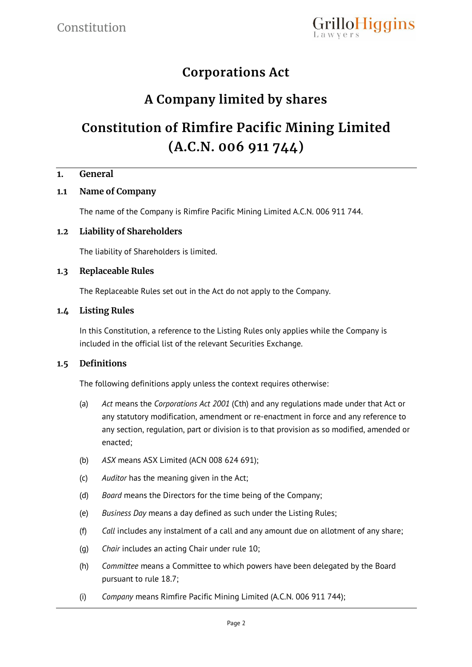

# **Corporations Act**

# **A Company limited by shares**

# **Constitution of Rimfire Pacific Mining Limited (A.C.N. 006 911 744)**

#### **1. General**

# **1.1 Name of Company**

The name of the Company is Rimfire Pacific Mining Limited A.C.N. 006 911 744.

#### **1.2 Liability of Shareholders**

The liability of Shareholders is limited.

#### **1.3 Replaceable Rules**

The Replaceable Rules set out in the Act do not apply to the Company.

#### **1.4 Listing Rules**

In this Constitution, a reference to the Listing Rules only applies while the Company is included in the official list of the relevant Securities Exchange.

# **1.5 Definitions**

The following definitions apply unless the context requires otherwise:

- (a) *Act* means the *Corporations Act 2001* (Cth) and any regulations made under that Act or any statutory modification, amendment or re-enactment in force and any reference to any section, regulation, part or division is to that provision as so modified, amended or enacted;
- (b) *ASX* means ASX Limited (ACN 008 624 691);
- (c) *Auditor* has the meaning given in the Act;
- (d) *Board* means the Directors for the time being of the Company;
- (e) *Business Day* means a day defined as such under the Listing Rules;
- (f) *Call* includes any instalment of a call and any amount due on allotment of any share;
- (g) *Chair* includes an acting Chair under rule 10;
- (h) *Committee* means a Committee to which powers have been delegated by the Board pursuant to rule 18.7;
- (i) *Company* means Rimfire Pacific Mining Limited (A.C.N. 006 911 744);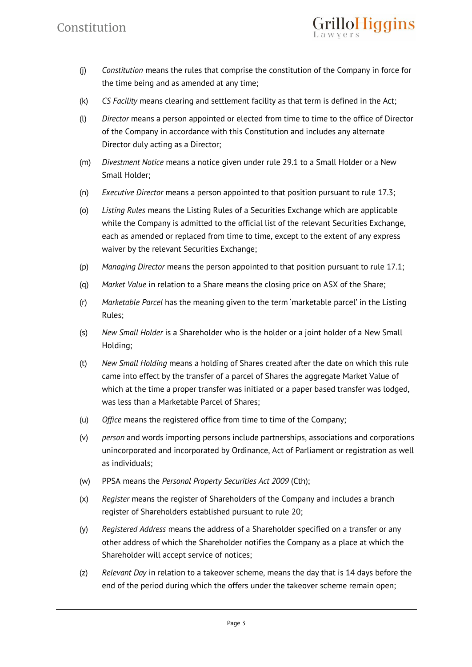

- (j) *Constitution* means the rules that comprise the constitution of the Company in force for the time being and as amended at any time;
- (k) *CS Facility* means clearing and settlement facility as that term is defined in the Act;
- (l) *Director* means a person appointed or elected from time to time to the office of Director of the Company in accordance with this Constitution and includes any alternate Director duly acting as a Director;
- (m) *Divestment Notice* means a notice given under rule 29.1 to a Small Holder or a New Small Holder;
- (n) *Executive Director* means a person appointed to that position pursuant to rule 17.3;
- (o) *Listing Rules* means the Listing Rules of a Securities Exchange which are applicable while the Company is admitted to the official list of the relevant Securities Exchange, each as amended or replaced from time to time, except to the extent of any express waiver by the relevant Securities Exchange;
- (p) *Managing Director* means the person appointed to that position pursuant to rule 17.1;
- (q) *Market Value* in relation to a Share means the closing price on ASX of the Share;
- (r) *Marketable Parcel* has the meaning given to the term 'marketable parcel' in the Listing Rules;
- (s) *New Small Holder* is a Shareholder who is the holder or a joint holder of a New Small Holding;
- (t) *New Small Holding* means a holding of Shares created after the date on which this rule came into effect by the transfer of a parcel of Shares the aggregate Market Value of which at the time a proper transfer was initiated or a paper based transfer was lodged, was less than a Marketable Parcel of Shares;
- (u) *Office* means the registered office from time to time of the Company;
- (v) *person* and words importing persons include partnerships, associations and corporations unincorporated and incorporated by Ordinance, Act of Parliament or registration as well as individuals;
- (w) PPSA means the *Personal Property Securities Act 2009* (Cth);
- (x) *Register* means the register of Shareholders of the Company and includes a branch register of Shareholders established pursuant to rule 20;
- (y) *Registered Address* means the address of a Shareholder specified on a transfer or any other address of which the Shareholder notifies the Company as a place at which the Shareholder will accept service of notices;
- (z) *Relevant Day* in relation to a takeover scheme, means the day that is 14 days before the end of the period during which the offers under the takeover scheme remain open;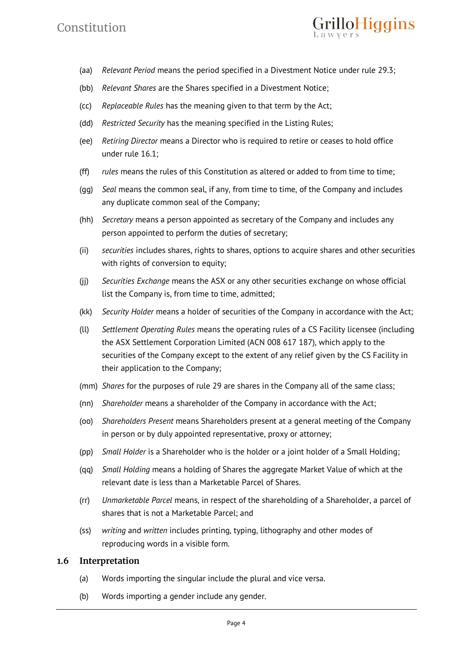# Constitution

- illoHiggins
- (aa) *Relevant Period* means the period specified in a Divestment Notice under rule 29.3;
- (bb) *Relevant Shares* are the Shares specified in a Divestment Notice;
- (cc) *Replaceable Rules* has the meaning given to that term by the Act;
- (dd) *Restricted Security* has the meaning specified in the Listing Rules;
- (ee) *Retiring Director* means a Director who is required to retire or ceases to hold office under rule 16.1;
- (ff) *rules* means the rules of this Constitution as altered or added to from time to time;
- (gg) *Seal* means the common seal, if any, from time to time, of the Company and includes any duplicate common seal of the Company;
- (hh) *Secretary* means a person appointed as secretary of the Company and includes any person appointed to perform the duties of secretary;
- (ii) *securities* includes shares, rights to shares, options to acquire shares and other securities with rights of conversion to equity;
- (jj) *Securities Exchange* means the ASX or any other securities exchange on whose official list the Company is, from time to time, admitted;
- (kk) *Security Holder* means a holder of securities of the Company in accordance with the Act;
- (ll) *Settlement Operating Rules* means the operating rules of a CS Facility licensee (including the ASX Settlement Corporation Limited (ACN 008 617 187), which apply to the securities of the Company except to the extent of any relief given by the CS Facility in their application to the Company;
- (mm) *Shares* for the purposes of rule 29 are shares in the Company all of the same class;
- (nn) *Shareholder* means a shareholder of the Company in accordance with the Act;
- (oo) *Shareholders Present* means Shareholders present at a general meeting of the Company in person or by duly appointed representative, proxy or attorney;
- (pp) *Small Holder* is a Shareholder who is the holder or a joint holder of a Small Holding;
- (qq) *Small Holding* means a holding of Shares the aggregate Market Value of which at the relevant date is less than a Marketable Parcel of Shares.
- (rr) *Unmarketable Parcel* means, in respect of the shareholding of a Shareholder, a parcel of shares that is not a Marketable Parcel; and
- (ss) *writing* and *written* includes printing, typing, lithography and other modes of reproducing words in a visible form.

#### **1.6 Interpretation**

- (a) Words importing the singular include the plural and vice versa.
- (b) Words importing a gender include any gender.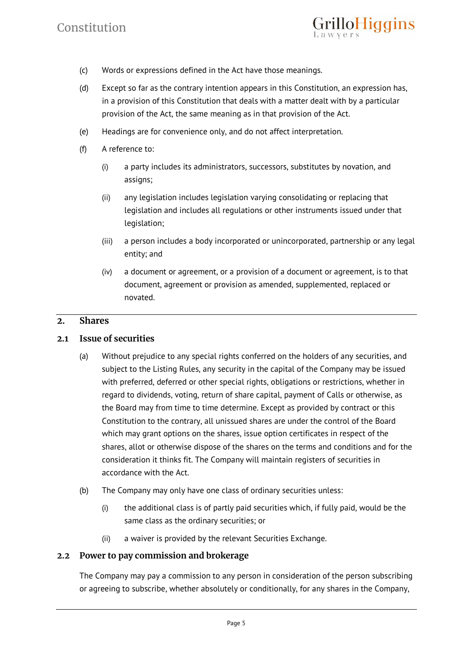

- (c) Words or expressions defined in the Act have those meanings.
- (d) Except so far as the contrary intention appears in this Constitution, an expression has, in a provision of this Constitution that deals with a matter dealt with by a particular provision of the Act, the same meaning as in that provision of the Act.
- (e) Headings are for convenience only, and do not affect interpretation.
- (f) A reference to:
	- (i) a party includes its administrators, successors, substitutes by novation, and assigns;
	- (ii) any legislation includes legislation varying consolidating or replacing that legislation and includes all regulations or other instruments issued under that legislation;
	- (iii) a person includes a body incorporated or unincorporated, partnership or any legal entity; and
	- (iv) a document or agreement, or a provision of a document or agreement, is to that document, agreement or provision as amended, supplemented, replaced or novated.

# **2. Shares**

#### **2.1 Issue of securities**

- (a) Without prejudice to any special rights conferred on the holders of any securities, and subject to the Listing Rules, any security in the capital of the Company may be issued with preferred, deferred or other special rights, obligations or restrictions, whether in regard to dividends, voting, return of share capital, payment of Calls or otherwise, as the Board may from time to time determine. Except as provided by contract or this Constitution to the contrary, all unissued shares are under the control of the Board which may grant options on the shares, issue option certificates in respect of the shares, allot or otherwise dispose of the shares on the terms and conditions and for the consideration it thinks fit. The Company will maintain registers of securities in accordance with the Act.
- (b) The Company may only have one class of ordinary securities unless:
	- (i) the additional class is of partly paid securities which, if fully paid, would be the same class as the ordinary securities; or
	- (ii) a waiver is provided by the relevant Securities Exchange.

# **2.2 Power to pay commission and brokerage**

The Company may pay a commission to any person in consideration of the person subscribing or agreeing to subscribe, whether absolutely or conditionally, for any shares in the Company,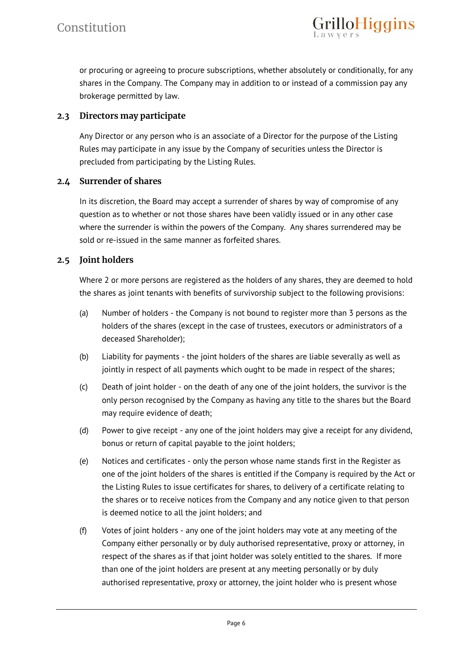or procuring or agreeing to procure subscriptions, whether absolutely or conditionally, for any shares in the Company. The Company may in addition to or instead of a commission pay any brokerage permitted by law.

illoHiggins

# **2.3 Directors may participate**

Any Director or any person who is an associate of a Director for the purpose of the Listing Rules may participate in any issue by the Company of securities unless the Director is precluded from participating by the Listing Rules.

# **2.4 Surrender of shares**

In its discretion, the Board may accept a surrender of shares by way of compromise of any question as to whether or not those shares have been validly issued or in any other case where the surrender is within the powers of the Company. Any shares surrendered may be sold or re-issued in the same manner as forfeited shares.

#### **2.5 Joint holders**

Where 2 or more persons are registered as the holders of any shares, they are deemed to hold the shares as joint tenants with benefits of survivorship subject to the following provisions:

- (a) Number of holders the Company is not bound to register more than 3 persons as the holders of the shares (except in the case of trustees, executors or administrators of a deceased Shareholder);
- (b) Liability for payments the joint holders of the shares are liable severally as well as jointly in respect of all payments which ought to be made in respect of the shares;
- (c) Death of joint holder on the death of any one of the joint holders, the survivor is the only person recognised by the Company as having any title to the shares but the Board may require evidence of death;
- (d) Power to give receipt any one of the joint holders may give a receipt for any dividend, bonus or return of capital payable to the joint holders;
- (e) Notices and certificates only the person whose name stands first in the Register as one of the joint holders of the shares is entitled if the Company is required by the Act or the Listing Rules to issue certificates for shares, to delivery of a certificate relating to the shares or to receive notices from the Company and any notice given to that person is deemed notice to all the joint holders; and
- (f) Votes of joint holders any one of the joint holders may vote at any meeting of the Company either personally or by duly authorised representative, proxy or attorney, in respect of the shares as if that joint holder was solely entitled to the shares. If more than one of the joint holders are present at any meeting personally or by duly authorised representative, proxy or attorney, the joint holder who is present whose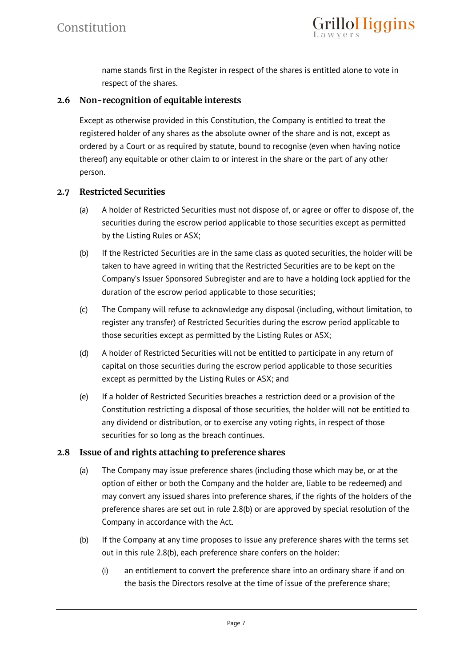

name stands first in the Register in respect of the shares is entitled alone to vote in respect of the shares.

# **2.6 Non-recognition of equitable interests**

Except as otherwise provided in this Constitution, the Company is entitled to treat the registered holder of any shares as the absolute owner of the share and is not, except as ordered by a Court or as required by statute, bound to recognise (even when having notice thereof) any equitable or other claim to or interest in the share or the part of any other person.

#### **2.7 Restricted Securities**

- (a) A holder of Restricted Securities must not dispose of, or agree or offer to dispose of, the securities during the escrow period applicable to those securities except as permitted by the Listing Rules or ASX;
- (b) If the Restricted Securities are in the same class as quoted securities, the holder will be taken to have agreed in writing that the Restricted Securities are to be kept on the Company's Issuer Sponsored Subregister and are to have a holding lock applied for the duration of the escrow period applicable to those securities;
- (c) The Company will refuse to acknowledge any disposal (including, without limitation, to register any transfer) of Restricted Securities during the escrow period applicable to those securities except as permitted by the Listing Rules or ASX;
- (d) A holder of Restricted Securities will not be entitled to participate in any return of capital on those securities during the escrow period applicable to those securities except as permitted by the Listing Rules or ASX; and
- (e) If a holder of Restricted Securities breaches a restriction deed or a provision of the Constitution restricting a disposal of those securities, the holder will not be entitled to any dividend or distribution, or to exercise any voting rights, in respect of those securities for so long as the breach continues.

# **2.8 Issue of and rights attaching to preference shares**

- (a) The Company may issue preference shares (including those which may be, or at the option of either or both the Company and the holder are, liable to be redeemed) and may convert any issued shares into preference shares, if the rights of the holders of the preference shares are set out in rule 2.8(b) or are approved by special resolution of the Company in accordance with the Act.
- (b) If the Company at any time proposes to issue any preference shares with the terms set out in this rule 2.8(b), each preference share confers on the holder:
	- (i) an entitlement to convert the preference share into an ordinary share if and on the basis the Directors resolve at the time of issue of the preference share;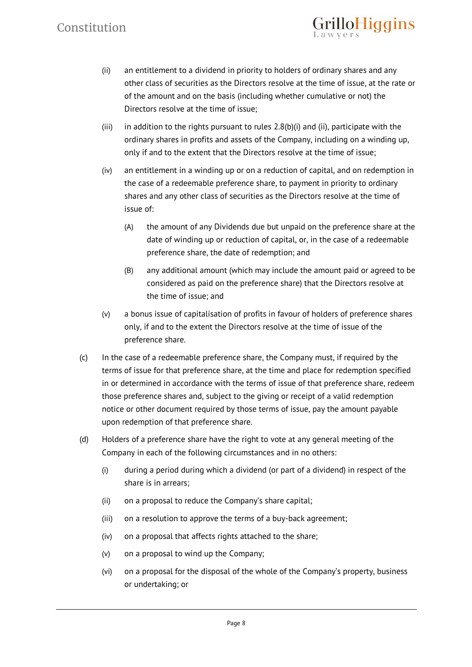# Constitution

(ii) an entitlement to a dividend in priority to holders of ordinary shares and any other class of securities as the Directors resolve at the time of issue, at the rate or of the amount and on the basis (including whether cumulative or not) the Directors resolve at the time of issue;

rilloHiggins

- (iii) in addition to the rights pursuant to rules  $2.8(b)(i)$  and (ii), participate with the ordinary shares in profits and assets of the Company, including on a winding up, only if and to the extent that the Directors resolve at the time of issue;
- (iv) an entitlement in a winding up or on a reduction of capital, and on redemption in the case of a redeemable preference share, to payment in priority to ordinary shares and any other class of securities as the Directors resolve at the time of issue of:
	- (A) the amount of any Dividends due but unpaid on the preference share at the date of winding up or reduction of capital, or, in the case of a redeemable preference share, the date of redemption; and
	- (B) any additional amount (which may include the amount paid or agreed to be considered as paid on the preference share) that the Directors resolve at the time of issue; and
- (v) a bonus issue of capitalisation of profits in favour of holders of preference shares only, if and to the extent the Directors resolve at the time of issue of the preference share.
- (c) In the case of a redeemable preference share, the Company must, if required by the terms of issue for that preference share, at the time and place for redemption specified in or determined in accordance with the terms of issue of that preference share, redeem those preference shares and, subject to the giving or receipt of a valid redemption notice or other document required by those terms of issue, pay the amount payable upon redemption of that preference share.
- (d) Holders of a preference share have the right to vote at any general meeting of the Company in each of the following circumstances and in no others:
	- (i) during a period during which a dividend (or part of a dividend) in respect of the share is in arrears;
	- (ii) on a proposal to reduce the Company's share capital;
	- (iii) on a resolution to approve the terms of a buy-back agreement;
	- (iv) on a proposal that affects rights attached to the share;
	- (v) on a proposal to wind up the Company;
	- (vi) on a proposal for the disposal of the whole of the Company's property, business or undertaking; or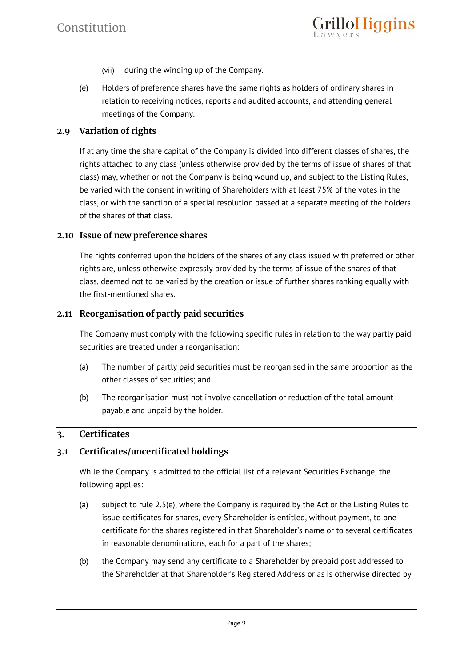- (vii) during the winding up of the Company.
- (e) Holders of preference shares have the same rights as holders of ordinary shares in relation to receiving notices, reports and audited accounts, and attending general meetings of the Company.

illoHiggins

# **2.9 Variation of rights**

If at any time the share capital of the Company is divided into different classes of shares, the rights attached to any class (unless otherwise provided by the terms of issue of shares of that class) may, whether or not the Company is being wound up, and subject to the Listing Rules, be varied with the consent in writing of Shareholders with at least 75% of the votes in the class, or with the sanction of a special resolution passed at a separate meeting of the holders of the shares of that class.

#### **2.10 Issue of new preference shares**

The rights conferred upon the holders of the shares of any class issued with preferred or other rights are, unless otherwise expressly provided by the terms of issue of the shares of that class, deemed not to be varied by the creation or issue of further shares ranking equally with the first-mentioned shares.

#### **2.11 Reorganisation of partly paid securities**

The Company must comply with the following specific rules in relation to the way partly paid securities are treated under a reorganisation:

- (a) The number of partly paid securities must be reorganised in the same proportion as the other classes of securities; and
- (b) The reorganisation must not involve cancellation or reduction of the total amount payable and unpaid by the holder.

# **3. Certificates**

# **3.1 Certificates/uncertificated holdings**

While the Company is admitted to the official list of a relevant Securities Exchange, the following applies:

- (a) subject to rule 2.5(e), where the Company is required by the Act or the Listing Rules to issue certificates for shares, every Shareholder is entitled, without payment, to one certificate for the shares registered in that Shareholder's name or to several certificates in reasonable denominations, each for a part of the shares;
- (b) the Company may send any certificate to a Shareholder by prepaid post addressed to the Shareholder at that Shareholder's Registered Address or as is otherwise directed by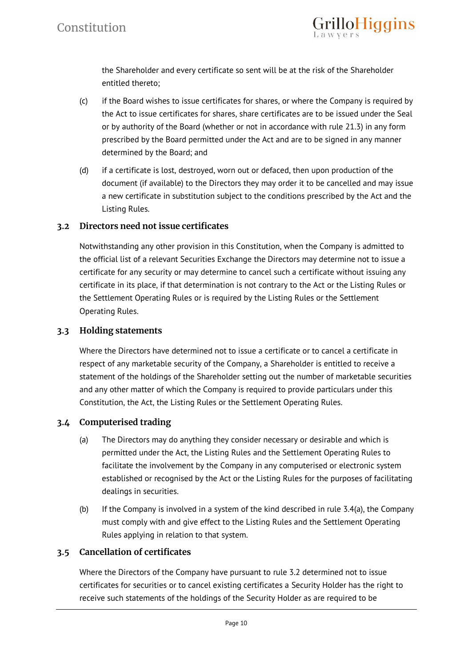

the Shareholder and every certificate so sent will be at the risk of the Shareholder entitled thereto;

- (c) if the Board wishes to issue certificates for shares, or where the Company is required by the Act to issue certificates for shares, share certificates are to be issued under the Seal or by authority of the Board (whether or not in accordance with rule 21.3) in any form prescribed by the Board permitted under the Act and are to be signed in any manner determined by the Board; and
- (d) if a certificate is lost, destroyed, worn out or defaced, then upon production of the document (if available) to the Directors they may order it to be cancelled and may issue a new certificate in substitution subject to the conditions prescribed by the Act and the Listing Rules.

# **3.2 Directors need not issue certificates**

Notwithstanding any other provision in this Constitution, when the Company is admitted to the official list of a relevant Securities Exchange the Directors may determine not to issue a certificate for any security or may determine to cancel such a certificate without issuing any certificate in its place, if that determination is not contrary to the Act or the Listing Rules or the Settlement Operating Rules or is required by the Listing Rules or the Settlement Operating Rules.

# **3.3 Holding statements**

Where the Directors have determined not to issue a certificate or to cancel a certificate in respect of any marketable security of the Company, a Shareholder is entitled to receive a statement of the holdings of the Shareholder setting out the number of marketable securities and any other matter of which the Company is required to provide particulars under this Constitution, the Act, the Listing Rules or the Settlement Operating Rules.

# **3.4 Computerised trading**

- (a) The Directors may do anything they consider necessary or desirable and which is permitted under the Act, the Listing Rules and the Settlement Operating Rules to facilitate the involvement by the Company in any computerised or electronic system established or recognised by the Act or the Listing Rules for the purposes of facilitating dealings in securities.
- (b) If the Company is involved in a system of the kind described in rule 3.4(a), the Company must comply with and give effect to the Listing Rules and the Settlement Operating Rules applying in relation to that system.

# **3.5 Cancellation of certificates**

Where the Directors of the Company have pursuant to rule 3.2 determined not to issue certificates for securities or to cancel existing certificates a Security Holder has the right to receive such statements of the holdings of the Security Holder as are required to be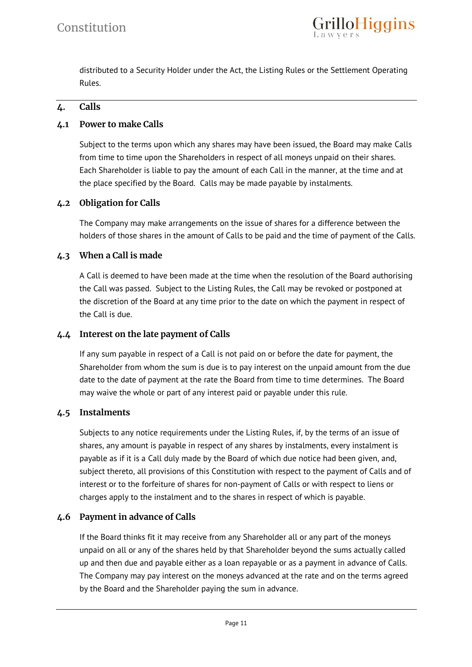

distributed to a Security Holder under the Act, the Listing Rules or the Settlement Operating Rules.

# **4. Calls**

# **4.1 Power to make Calls**

Subject to the terms upon which any shares may have been issued, the Board may make Calls from time to time upon the Shareholders in respect of all moneys unpaid on their shares. Each Shareholder is liable to pay the amount of each Call in the manner, at the time and at the place specified by the Board. Calls may be made payable by instalments.

# **4.2 Obligation for Calls**

The Company may make arrangements on the issue of shares for a difference between the holders of those shares in the amount of Calls to be paid and the time of payment of the Calls.

#### **4.3 When a Call is made**

A Call is deemed to have been made at the time when the resolution of the Board authorising the Call was passed. Subject to the Listing Rules, the Call may be revoked or postponed at the discretion of the Board at any time prior to the date on which the payment in respect of the Call is due.

#### **4.4 Interest on the late payment of Calls**

If any sum payable in respect of a Call is not paid on or before the date for payment, the Shareholder from whom the sum is due is to pay interest on the unpaid amount from the due date to the date of payment at the rate the Board from time to time determines. The Board may waive the whole or part of any interest paid or payable under this rule.

#### **4.5 Instalments**

Subjects to any notice requirements under the Listing Rules, if, by the terms of an issue of shares, any amount is payable in respect of any shares by instalments, every instalment is payable as if it is a Call duly made by the Board of which due notice had been given, and, subject thereto, all provisions of this Constitution with respect to the payment of Calls and of interest or to the forfeiture of shares for non-payment of Calls or with respect to liens or charges apply to the instalment and to the shares in respect of which is payable.

# **4.6 Payment in advance of Calls**

If the Board thinks fit it may receive from any Shareholder all or any part of the moneys unpaid on all or any of the shares held by that Shareholder beyond the sums actually called up and then due and payable either as a loan repayable or as a payment in advance of Calls. The Company may pay interest on the moneys advanced at the rate and on the terms agreed by the Board and the Shareholder paying the sum in advance.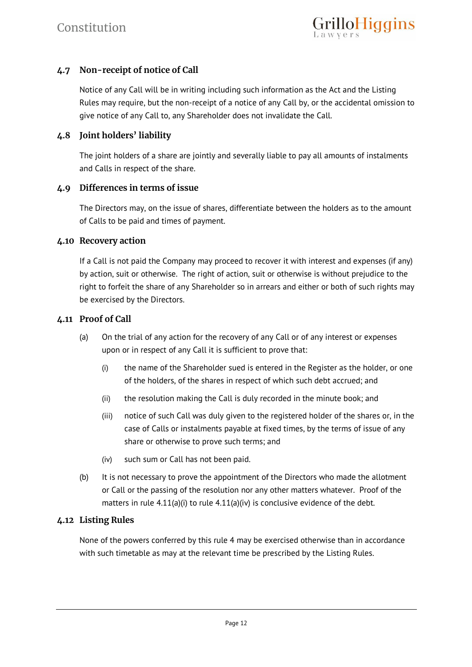# **4.7 Non-receipt of notice of Call**

Notice of any Call will be in writing including such information as the Act and the Listing Rules may require, but the non-receipt of a notice of any Call by, or the accidental omission to give notice of any Call to, any Shareholder does not invalidate the Call.

#### **4.8 Joint holders' liability**

The joint holders of a share are jointly and severally liable to pay all amounts of instalments and Calls in respect of the share.

#### **4.9 Differences in terms of issue**

The Directors may, on the issue of shares, differentiate between the holders as to the amount of Calls to be paid and times of payment.

#### **4.10 Recovery action**

If a Call is not paid the Company may proceed to recover it with interest and expenses (if any) by action, suit or otherwise. The right of action, suit or otherwise is without prejudice to the right to forfeit the share of any Shareholder so in arrears and either or both of such rights may be exercised by the Directors.

#### **4.11 Proof of Call**

- (a) On the trial of any action for the recovery of any Call or of any interest or expenses upon or in respect of any Call it is sufficient to prove that:
	- (i) the name of the Shareholder sued is entered in the Register as the holder, or one of the holders, of the shares in respect of which such debt accrued; and
	- (ii) the resolution making the Call is duly recorded in the minute book; and
	- (iii) notice of such Call was duly given to the registered holder of the shares or, in the case of Calls or instalments payable at fixed times, by the terms of issue of any share or otherwise to prove such terms; and
	- (iv) such sum or Call has not been paid.
- (b) It is not necessary to prove the appointment of the Directors who made the allotment or Call or the passing of the resolution nor any other matters whatever. Proof of the matters in rule 4.11(a)(i) to rule 4.11(a)(iv) is conclusive evidence of the debt.

#### **4.12 Listing Rules**

None of the powers conferred by this rule 4 may be exercised otherwise than in accordance with such timetable as may at the relevant time be prescribed by the Listing Rules.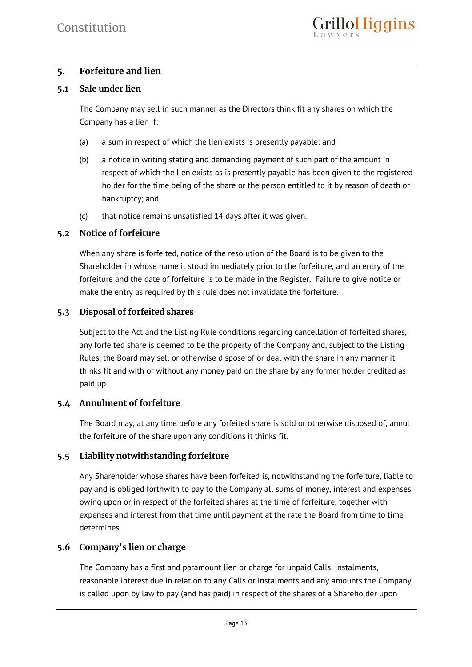# **5. Forfeiture and lien**

# **5.1 Sale under lien**

The Company may sell in such manner as the Directors think fit any shares on which the Company has a lien if:

- (a) a sum in respect of which the lien exists is presently payable; and
- (b) a notice in writing stating and demanding payment of such part of the amount in respect of which the lien exists as is presently payable has been given to the registered holder for the time being of the share or the person entitled to it by reason of death or bankruptcy; and
- (c) that notice remains unsatisfied 14 days after it was given.

# **5.2 Notice of forfeiture**

When any share is forfeited, notice of the resolution of the Board is to be given to the Shareholder in whose name it stood immediately prior to the forfeiture, and an entry of the forfeiture and the date of forfeiture is to be made in the Register. Failure to give notice or make the entry as required by this rule does not invalidate the forfeiture.

# **5.3 Disposal of forfeited shares**

Subject to the Act and the Listing Rule conditions regarding cancellation of forfeited shares, any forfeited share is deemed to be the property of the Company and, subject to the Listing Rules, the Board may sell or otherwise dispose of or deal with the share in any manner it thinks fit and with or without any money paid on the share by any former holder credited as paid up.

# **5.4 Annulment of forfeiture**

The Board may, at any time before any forfeited share is sold or otherwise disposed of, annul the forfeiture of the share upon any conditions it thinks fit.

# **5.5 Liability notwithstanding forfeiture**

Any Shareholder whose shares have been forfeited is, notwithstanding the forfeiture, liable to pay and is obliged forthwith to pay to the Company all sums of money, interest and expenses owing upon or in respect of the forfeited shares at the time of forfeiture, together with expenses and interest from that time until payment at the rate the Board from time to time determines.

# **5.6 Company's lien or charge**

The Company has a first and paramount lien or charge for unpaid Calls, instalments, reasonable interest due in relation to any Calls or instalments and any amounts the Company is called upon by law to pay (and has paid) in respect of the shares of a Shareholder upon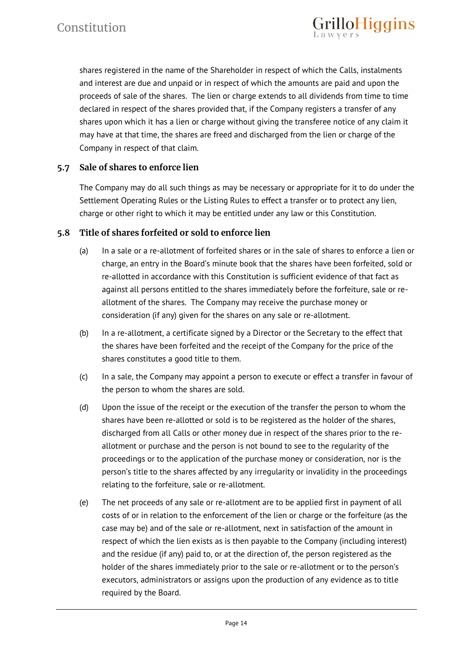shares registered in the name of the Shareholder in respect of which the Calls, instalments and interest are due and unpaid or in respect of which the amounts are paid and upon the proceeds of sale of the shares. The lien or charge extends to all dividends from time to time declared in respect of the shares provided that, if the Company registers a transfer of any shares upon which it has a lien or charge without giving the transferee notice of any claim it may have at that time, the shares are freed and discharged from the lien or charge of the Company in respect of that claim.

rilloHiggins

# **5.7 Sale of shares to enforce lien**

The Company may do all such things as may be necessary or appropriate for it to do under the Settlement Operating Rules or the Listing Rules to effect a transfer or to protect any lien, charge or other right to which it may be entitled under any law or this Constitution.

# **5.8 Title of shares forfeited or sold to enforce lien**

- (a) In a sale or a re-allotment of forfeited shares or in the sale of shares to enforce a lien or charge, an entry in the Board's minute book that the shares have been forfeited, sold or re-allotted in accordance with this Constitution is sufficient evidence of that fact as against all persons entitled to the shares immediately before the forfeiture, sale or reallotment of the shares. The Company may receive the purchase money or consideration (if any) given for the shares on any sale or re-allotment.
- (b) In a re-allotment, a certificate signed by a Director or the Secretary to the effect that the shares have been forfeited and the receipt of the Company for the price of the shares constitutes a good title to them.
- (c) In a sale, the Company may appoint a person to execute or effect a transfer in favour of the person to whom the shares are sold.
- (d) Upon the issue of the receipt or the execution of the transfer the person to whom the shares have been re-allotted or sold is to be registered as the holder of the shares, discharged from all Calls or other money due in respect of the shares prior to the reallotment or purchase and the person is not bound to see to the regularity of the proceedings or to the application of the purchase money or consideration, nor is the person's title to the shares affected by any irregularity or invalidity in the proceedings relating to the forfeiture, sale or re-allotment.
- (e) The net proceeds of any sale or re-allotment are to be applied first in payment of all costs of or in relation to the enforcement of the lien or charge or the forfeiture (as the case may be) and of the sale or re-allotment, next in satisfaction of the amount in respect of which the lien exists as is then payable to the Company (including interest) and the residue (if any) paid to, or at the direction of, the person registered as the holder of the shares immediately prior to the sale or re-allotment or to the person's executors, administrators or assigns upon the production of any evidence as to title required by the Board.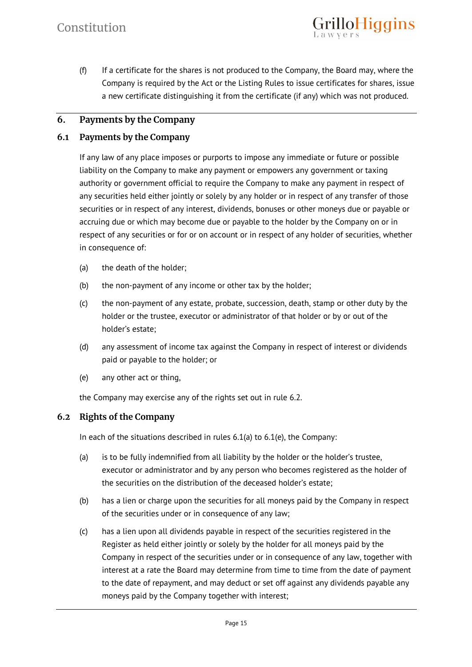(f) If a certificate for the shares is not produced to the Company, the Board may, where the Company is required by the Act or the Listing Rules to issue certificates for shares, issue a new certificate distinguishing it from the certificate (if any) which was not produced.

rilloHiggins

# **6. Payments by the Company**

#### **6.1 Payments by the Company**

If any law of any place imposes or purports to impose any immediate or future or possible liability on the Company to make any payment or empowers any government or taxing authority or government official to require the Company to make any payment in respect of any securities held either jointly or solely by any holder or in respect of any transfer of those securities or in respect of any interest, dividends, bonuses or other moneys due or payable or accruing due or which may become due or payable to the holder by the Company on or in respect of any securities or for or on account or in respect of any holder of securities, whether in consequence of:

- (a) the death of the holder;
- (b) the non-payment of any income or other tax by the holder;
- (c) the non-payment of any estate, probate, succession, death, stamp or other duty by the holder or the trustee, executor or administrator of that holder or by or out of the holder's estate;
- (d) any assessment of income tax against the Company in respect of interest or dividends paid or payable to the holder; or
- (e) any other act or thing,

the Company may exercise any of the rights set out in rule 6.2.

# **6.2 Rights of the Company**

In each of the situations described in rules 6.1(a) to 6.1(e), the Company:

- (a) is to be fully indemnified from all liability by the holder or the holder's trustee, executor or administrator and by any person who becomes registered as the holder of the securities on the distribution of the deceased holder's estate;
- (b) has a lien or charge upon the securities for all moneys paid by the Company in respect of the securities under or in consequence of any law;
- (c) has a lien upon all dividends payable in respect of the securities registered in the Register as held either jointly or solely by the holder for all moneys paid by the Company in respect of the securities under or in consequence of any law, together with interest at a rate the Board may determine from time to time from the date of payment to the date of repayment, and may deduct or set off against any dividends payable any moneys paid by the Company together with interest;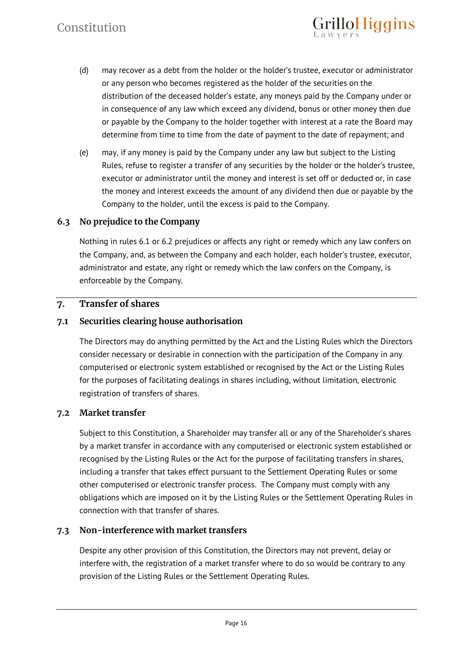(d) may recover as a debt from the holder or the holder's trustee, executor or administrator or any person who becomes registered as the holder of the securities on the distribution of the deceased holder's estate, any moneys paid by the Company under or in consequence of any law which exceed any dividend, bonus or other money then due or payable by the Company to the holder together with interest at a rate the Board may determine from time to time from the date of payment to the date of repayment; and

**rilloHiggins** 

(e) may, if any money is paid by the Company under any law but subject to the Listing Rules, refuse to register a transfer of any securities by the holder or the holder's trustee, executor or administrator until the money and interest is set off or deducted or, in case the money and interest exceeds the amount of any dividend then due or payable by the Company to the holder, until the excess is paid to the Company.

# **6.3 No prejudice to the Company**

Nothing in rules 6.1 or 6.2 prejudices or affects any right or remedy which any law confers on the Company, and, as between the Company and each holder, each holder's trustee, executor, administrator and estate, any right or remedy which the law confers on the Company, is enforceable by the Company.

# **7. Transfer of shares**

# **7.1 Securities clearing house authorisation**

The Directors may do anything permitted by the Act and the Listing Rules which the Directors consider necessary or desirable in connection with the participation of the Company in any computerised or electronic system established or recognised by the Act or the Listing Rules for the purposes of facilitating dealings in shares including, without limitation, electronic registration of transfers of shares.

# **7.2 Market transfer**

Subject to this Constitution, a Shareholder may transfer all or any of the Shareholder's shares by a market transfer in accordance with any computerised or electronic system established or recognised by the Listing Rules or the Act for the purpose of facilitating transfers in shares, including a transfer that takes effect pursuant to the Settlement Operating Rules or some other computerised or electronic transfer process. The Company must comply with any obligations which are imposed on it by the Listing Rules or the Settlement Operating Rules in connection with that transfer of shares.

# **7.3 Non-interference with market transfers**

Despite any other provision of this Constitution, the Directors may not prevent, delay or interfere with, the registration of a market transfer where to do so would be contrary to any provision of the Listing Rules or the Settlement Operating Rules.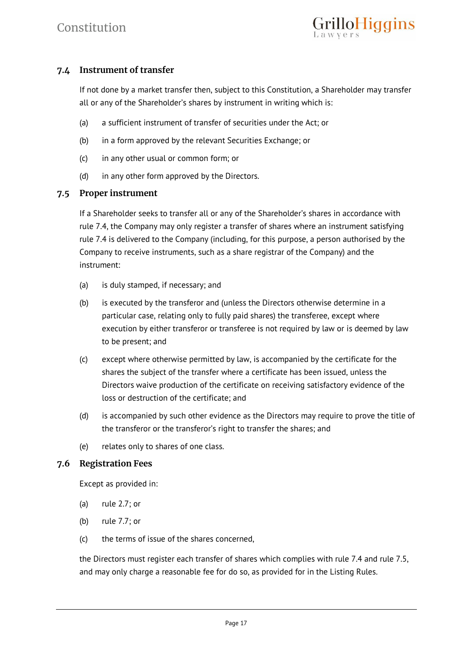# **7.4 Instrument of transfer**

If not done by a market transfer then, subject to this Constitution, a Shareholder may transfer all or any of the Shareholder's shares by instrument in writing which is:

- (a) a sufficient instrument of transfer of securities under the Act; or
- (b) in a form approved by the relevant Securities Exchange; or
- (c) in any other usual or common form; or
- (d) in any other form approved by the Directors.

#### **7.5 Proper instrument**

If a Shareholder seeks to transfer all or any of the Shareholder's shares in accordance with rule 7.4, the Company may only register a transfer of shares where an instrument satisfying rule 7.4 is delivered to the Company (including, for this purpose, a person authorised by the Company to receive instruments, such as a share registrar of the Company) and the instrument:

- (a) is duly stamped, if necessary; and
- (b) is executed by the transferor and (unless the Directors otherwise determine in a particular case, relating only to fully paid shares) the transferee, except where execution by either transferor or transferee is not required by law or is deemed by law to be present; and
- (c) except where otherwise permitted by law, is accompanied by the certificate for the shares the subject of the transfer where a certificate has been issued, unless the Directors waive production of the certificate on receiving satisfactory evidence of the loss or destruction of the certificate; and
- (d) is accompanied by such other evidence as the Directors may require to prove the title of the transferor or the transferor's right to transfer the shares; and
- (e) relates only to shares of one class.

# **7.6 Registration Fees**

Except as provided in:

- (a) rule 2.7; or
- (b) rule 7.7; or
- (c) the terms of issue of the shares concerned,

the Directors must register each transfer of shares which complies with rule 7.4 and rule 7.5, and may only charge a reasonable fee for do so, as provided for in the Listing Rules.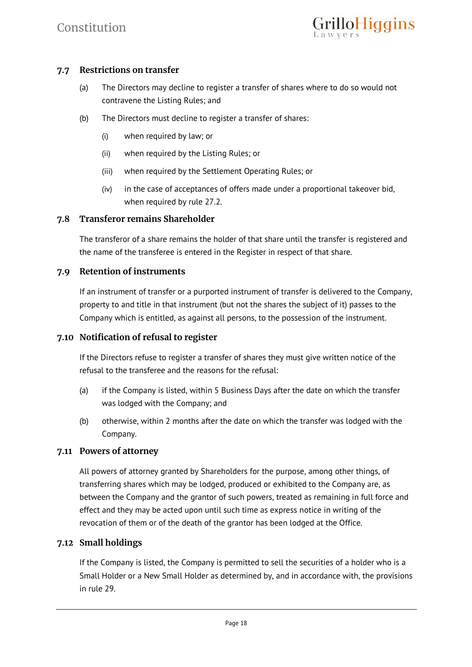# **7.7 Restrictions on transfer**

- (a) The Directors may decline to register a transfer of shares where to do so would not contravene the Listing Rules; and
- (b) The Directors must decline to register a transfer of shares:
	- (i) when required by law; or
	- (ii) when required by the Listing Rules; or
	- (iii) when required by the Settlement Operating Rules; or
	- (iv) in the case of acceptances of offers made under a proportional takeover bid, when required by rule 27.2.

# **7.8 Transferor remains Shareholder**

The transferor of a share remains the holder of that share until the transfer is registered and the name of the transferee is entered in the Register in respect of that share.

# **7.9 Retention of instruments**

If an instrument of transfer or a purported instrument of transfer is delivered to the Company, property to and title in that instrument (but not the shares the subject of it) passes to the Company which is entitled, as against all persons, to the possession of the instrument.

#### **7.10 Notification of refusal to register**

If the Directors refuse to register a transfer of shares they must give written notice of the refusal to the transferee and the reasons for the refusal:

- (a) if the Company is listed, within 5 Business Days after the date on which the transfer was lodged with the Company; and
- (b) otherwise, within 2 months after the date on which the transfer was lodged with the Company.

#### **7.11 Powers of attorney**

All powers of attorney granted by Shareholders for the purpose, among other things, of transferring shares which may be lodged, produced or exhibited to the Company are, as between the Company and the grantor of such powers, treated as remaining in full force and effect and they may be acted upon until such time as express notice in writing of the revocation of them or of the death of the grantor has been lodged at the Office.

#### **7.12 Small holdings**

If the Company is listed, the Company is permitted to sell the securities of a holder who is a Small Holder or a New Small Holder as determined by, and in accordance with, the provisions in rule 29.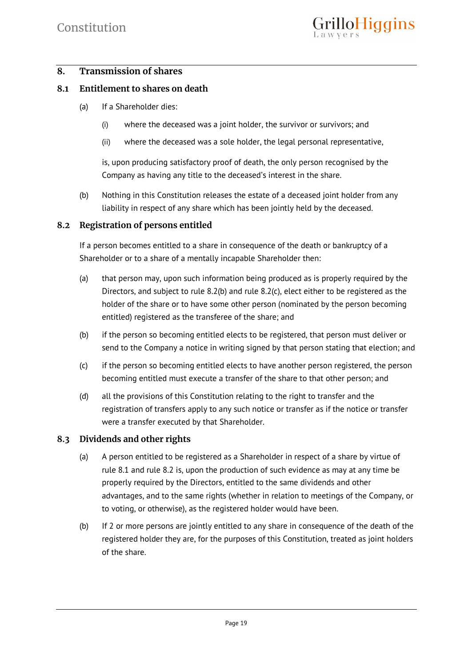# **8. Transmission of shares**

#### **8.1 Entitlement to shares on death**

- (a) If a Shareholder dies:
	- (i) where the deceased was a joint holder, the survivor or survivors; and
	- (ii) where the deceased was a sole holder, the legal personal representative,

is, upon producing satisfactory proof of death, the only person recognised by the Company as having any title to the deceased's interest in the share.

(b) Nothing in this Constitution releases the estate of a deceased joint holder from any liability in respect of any share which has been jointly held by the deceased.

#### **8.2 Registration of persons entitled**

If a person becomes entitled to a share in consequence of the death or bankruptcy of a Shareholder or to a share of a mentally incapable Shareholder then:

- (a) that person may, upon such information being produced as is properly required by the Directors, and subject to rule 8.2(b) and rule 8.2(c), elect either to be registered as the holder of the share or to have some other person (nominated by the person becoming entitled) registered as the transferee of the share; and
- (b) if the person so becoming entitled elects to be registered, that person must deliver or send to the Company a notice in writing signed by that person stating that election; and
- (c) if the person so becoming entitled elects to have another person registered, the person becoming entitled must execute a transfer of the share to that other person; and
- (d) all the provisions of this Constitution relating to the right to transfer and the registration of transfers apply to any such notice or transfer as if the notice or transfer were a transfer executed by that Shareholder.

# **8.3 Dividends and other rights**

- (a) A person entitled to be registered as a Shareholder in respect of a share by virtue of rule 8.1 and rule 8.2 is, upon the production of such evidence as may at any time be properly required by the Directors, entitled to the same dividends and other advantages, and to the same rights (whether in relation to meetings of the Company, or to voting, or otherwise), as the registered holder would have been.
- (b) If 2 or more persons are jointly entitled to any share in consequence of the death of the registered holder they are, for the purposes of this Constitution, treated as joint holders of the share.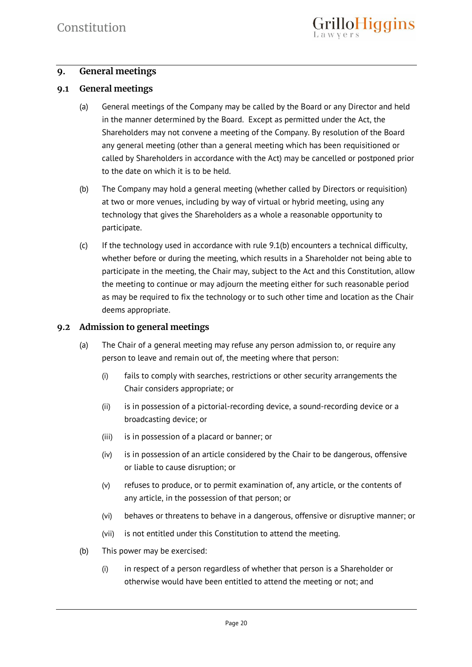# **9. General meetings**

#### **9.1 General meetings**

- (a) General meetings of the Company may be called by the Board or any Director and held in the manner determined by the Board. Except as permitted under the Act, the Shareholders may not convene a meeting of the Company. By resolution of the Board any general meeting (other than a general meeting which has been requisitioned or called by Shareholders in accordance with the Act) may be cancelled or postponed prior to the date on which it is to be held.
- (b) The Company may hold a general meeting (whether called by Directors or requisition) at two or more venues, including by way of virtual or hybrid meeting, using any technology that gives the Shareholders as a whole a reasonable opportunity to participate.
- (c) If the technology used in accordance with rule 9.1(b) encounters a technical difficulty, whether before or during the meeting, which results in a Shareholder not being able to participate in the meeting, the Chair may, subject to the Act and this Constitution, allow the meeting to continue or may adjourn the meeting either for such reasonable period as may be required to fix the technology or to such other time and location as the Chair deems appropriate.

#### **9.2 Admission to general meetings**

- (a) The Chair of a general meeting may refuse any person admission to, or require any person to leave and remain out of, the meeting where that person:
	- (i) fails to comply with searches, restrictions or other security arrangements the Chair considers appropriate; or
	- (ii) is in possession of a pictorial-recording device, a sound-recording device or a broadcasting device; or
	- (iii) is in possession of a placard or banner; or
	- (iv) is in possession of an article considered by the Chair to be dangerous, offensive or liable to cause disruption; or
	- (v) refuses to produce, or to permit examination of, any article, or the contents of any article, in the possession of that person; or
	- (vi) behaves or threatens to behave in a dangerous, offensive or disruptive manner; or
	- (vii) is not entitled under this Constitution to attend the meeting.
- (b) This power may be exercised:
	- (i) in respect of a person regardless of whether that person is a Shareholder or otherwise would have been entitled to attend the meeting or not; and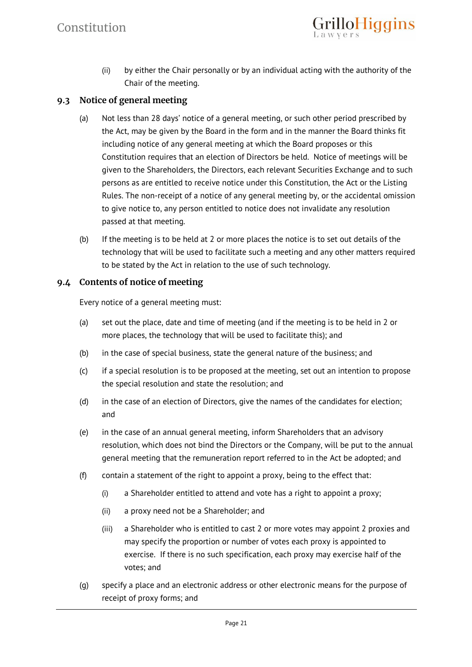(ii) by either the Chair personally or by an individual acting with the authority of the Chair of the meeting.

**rilloHiggins** 

# **9.3 Notice of general meeting**

- (a) Not less than 28 days' notice of a general meeting, or such other period prescribed by the Act, may be given by the Board in the form and in the manner the Board thinks fit including notice of any general meeting at which the Board proposes or this Constitution requires that an election of Directors be held. Notice of meetings will be given to the Shareholders, the Directors, each relevant Securities Exchange and to such persons as are entitled to receive notice under this Constitution, the Act or the Listing Rules. The non-receipt of a notice of any general meeting by, or the accidental omission to give notice to, any person entitled to notice does not invalidate any resolution passed at that meeting.
- (b) If the meeting is to be held at 2 or more places the notice is to set out details of the technology that will be used to facilitate such a meeting and any other matters required to be stated by the Act in relation to the use of such technology.

#### **9.4 Contents of notice of meeting**

Every notice of a general meeting must:

- (a) set out the place, date and time of meeting (and if the meeting is to be held in 2 or more places, the technology that will be used to facilitate this); and
- (b) in the case of special business, state the general nature of the business; and
- (c) if a special resolution is to be proposed at the meeting, set out an intention to propose the special resolution and state the resolution; and
- (d) in the case of an election of Directors, give the names of the candidates for election; and
- (e) in the case of an annual general meeting, inform Shareholders that an advisory resolution, which does not bind the Directors or the Company, will be put to the annual general meeting that the remuneration report referred to in the Act be adopted; and
- (f) contain a statement of the right to appoint a proxy, being to the effect that:
	- (i) a Shareholder entitled to attend and vote has a right to appoint a proxy;
	- (ii) a proxy need not be a Shareholder; and
	- (iii) a Shareholder who is entitled to cast 2 or more votes may appoint 2 proxies and may specify the proportion or number of votes each proxy is appointed to exercise. If there is no such specification, each proxy may exercise half of the votes; and
- (g) specify a place and an electronic address or other electronic means for the purpose of receipt of proxy forms; and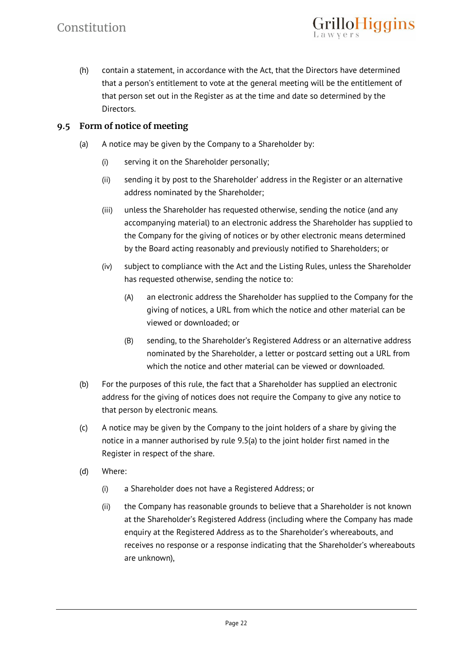(h) contain a statement, in accordance with the Act, that the Directors have determined that a person's entitlement to vote at the general meeting will be the entitlement of that person set out in the Register as at the time and date so determined by the Directors.

loHiggins

# **9.5 Form of notice of meeting**

- (a) A notice may be given by the Company to a Shareholder by:
	- (i) serving it on the Shareholder personally;
	- (ii) sending it by post to the Shareholder' address in the Register or an alternative address nominated by the Shareholder;
	- (iii) unless the Shareholder has requested otherwise, sending the notice (and any accompanying material) to an electronic address the Shareholder has supplied to the Company for the giving of notices or by other electronic means determined by the Board acting reasonably and previously notified to Shareholders; or
	- (iv) subject to compliance with the Act and the Listing Rules, unless the Shareholder has requested otherwise, sending the notice to:
		- (A) an electronic address the Shareholder has supplied to the Company for the giving of notices, a URL from which the notice and other material can be viewed or downloaded; or
		- (B) sending, to the Shareholder's Registered Address or an alternative address nominated by the Shareholder, a letter or postcard setting out a URL from which the notice and other material can be viewed or downloaded.
- (b) For the purposes of this rule, the fact that a Shareholder has supplied an electronic address for the giving of notices does not require the Company to give any notice to that person by electronic means.
- (c) A notice may be given by the Company to the joint holders of a share by giving the notice in a manner authorised by rule 9.5(a) to the joint holder first named in the Register in respect of the share.
- (d) Where:
	- (i) a Shareholder does not have a Registered Address; or
	- (ii) the Company has reasonable grounds to believe that a Shareholder is not known at the Shareholder's Registered Address (including where the Company has made enquiry at the Registered Address as to the Shareholder's whereabouts, and receives no response or a response indicating that the Shareholder's whereabouts are unknown),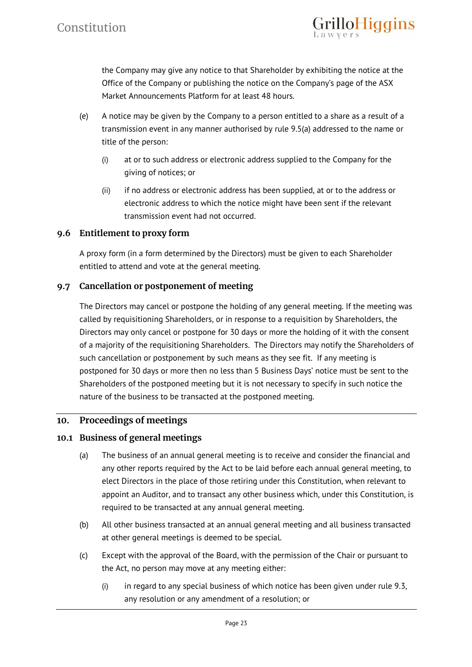

the Company may give any notice to that Shareholder by exhibiting the notice at the Office of the Company or publishing the notice on the Company's page of the ASX Market Announcements Platform for at least 48 hours.

- (e) A notice may be given by the Company to a person entitled to a share as a result of a transmission event in any manner authorised by rule 9.5(a) addressed to the name or title of the person:
	- (i) at or to such address or electronic address supplied to the Company for the giving of notices; or
	- (ii) if no address or electronic address has been supplied, at or to the address or electronic address to which the notice might have been sent if the relevant transmission event had not occurred.

# **9.6 Entitlement to proxy form**

A proxy form (in a form determined by the Directors) must be given to each Shareholder entitled to attend and vote at the general meeting.

# **9.7 Cancellation or postponement of meeting**

The Directors may cancel or postpone the holding of any general meeting. If the meeting was called by requisitioning Shareholders, or in response to a requisition by Shareholders, the Directors may only cancel or postpone for 30 days or more the holding of it with the consent of a majority of the requisitioning Shareholders. The Directors may notify the Shareholders of such cancellation or postponement by such means as they see fit. If any meeting is postponed for 30 days or more then no less than 5 Business Days' notice must be sent to the Shareholders of the postponed meeting but it is not necessary to specify in such notice the nature of the business to be transacted at the postponed meeting.

# **10. Proceedings of meetings**

# **10.1 Business of general meetings**

- (a) The business of an annual general meeting is to receive and consider the financial and any other reports required by the Act to be laid before each annual general meeting, to elect Directors in the place of those retiring under this Constitution, when relevant to appoint an Auditor, and to transact any other business which, under this Constitution, is required to be transacted at any annual general meeting.
- (b) All other business transacted at an annual general meeting and all business transacted at other general meetings is deemed to be special.
- (c) Except with the approval of the Board, with the permission of the Chair or pursuant to the Act, no person may move at any meeting either:
	- (i) in regard to any special business of which notice has been given under rule 9.3, any resolution or any amendment of a resolution; or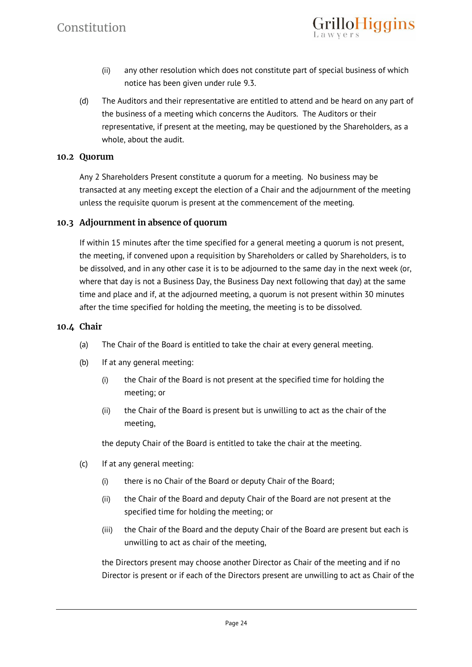(ii) any other resolution which does not constitute part of special business of which notice has been given under rule 9.3.

loHiggins

(d) The Auditors and their representative are entitled to attend and be heard on any part of the business of a meeting which concerns the Auditors. The Auditors or their representative, if present at the meeting, may be questioned by the Shareholders, as a whole, about the audit.

#### **10.2 Quorum**

Any 2 Shareholders Present constitute a quorum for a meeting. No business may be transacted at any meeting except the election of a Chair and the adjournment of the meeting unless the requisite quorum is present at the commencement of the meeting.

#### **10.3 Adjournment in absence of quorum**

If within 15 minutes after the time specified for a general meeting a quorum is not present, the meeting, if convened upon a requisition by Shareholders or called by Shareholders, is to be dissolved, and in any other case it is to be adjourned to the same day in the next week (or, where that day is not a Business Day, the Business Day next following that day) at the same time and place and if, at the adjourned meeting, a quorum is not present within 30 minutes after the time specified for holding the meeting, the meeting is to be dissolved.

#### **10.4 Chair**

- (a) The Chair of the Board is entitled to take the chair at every general meeting.
- (b) If at any general meeting:
	- (i) the Chair of the Board is not present at the specified time for holding the meeting; or
	- (ii) the Chair of the Board is present but is unwilling to act as the chair of the meeting,

the deputy Chair of the Board is entitled to take the chair at the meeting.

- (c) If at any general meeting:
	- (i) there is no Chair of the Board or deputy Chair of the Board;
	- (ii) the Chair of the Board and deputy Chair of the Board are not present at the specified time for holding the meeting; or
	- (iii) the Chair of the Board and the deputy Chair of the Board are present but each is unwilling to act as chair of the meeting,

the Directors present may choose another Director as Chair of the meeting and if no Director is present or if each of the Directors present are unwilling to act as Chair of the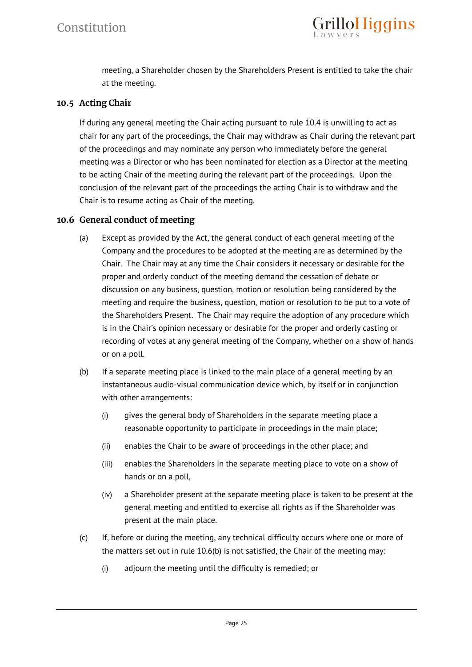meeting, a Shareholder chosen by the Shareholders Present is entitled to take the chair at the meeting.

# **10.5 Acting Chair**

If during any general meeting the Chair acting pursuant to rule 10.4 is unwilling to act as chair for any part of the proceedings, the Chair may withdraw as Chair during the relevant part of the proceedings and may nominate any person who immediately before the general meeting was a Director or who has been nominated for election as a Director at the meeting to be acting Chair of the meeting during the relevant part of the proceedings. Upon the conclusion of the relevant part of the proceedings the acting Chair is to withdraw and the Chair is to resume acting as Chair of the meeting.

# **10.6 General conduct of meeting**

- (a) Except as provided by the Act, the general conduct of each general meeting of the Company and the procedures to be adopted at the meeting are as determined by the Chair. The Chair may at any time the Chair considers it necessary or desirable for the proper and orderly conduct of the meeting demand the cessation of debate or discussion on any business, question, motion or resolution being considered by the meeting and require the business, question, motion or resolution to be put to a vote of the Shareholders Present. The Chair may require the adoption of any procedure which is in the Chair's opinion necessary or desirable for the proper and orderly casting or recording of votes at any general meeting of the Company, whether on a show of hands or on a poll.
- (b) If a separate meeting place is linked to the main place of a general meeting by an instantaneous audio-visual communication device which, by itself or in conjunction with other arrangements:
	- (i) gives the general body of Shareholders in the separate meeting place a reasonable opportunity to participate in proceedings in the main place;
	- (ii) enables the Chair to be aware of proceedings in the other place; and
	- (iii) enables the Shareholders in the separate meeting place to vote on a show of hands or on a poll,
	- (iv) a Shareholder present at the separate meeting place is taken to be present at the general meeting and entitled to exercise all rights as if the Shareholder was present at the main place.
- (c) If, before or during the meeting, any technical difficulty occurs where one or more of the matters set out in rule 10.6(b) is not satisfied, the Chair of the meeting may:
	- (i) adjourn the meeting until the difficulty is remedied; or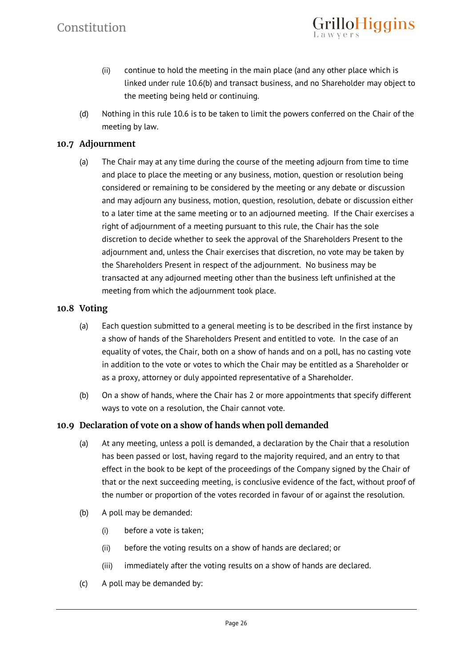(ii) continue to hold the meeting in the main place (and any other place which is linked under rule 10.6(b) and transact business, and no Shareholder may object to the meeting being held or continuing.

**rilloHiggins** 

(d) Nothing in this rule 10.6 is to be taken to limit the powers conferred on the Chair of the meeting by law.

# **10.7 Adjournment**

(a) The Chair may at any time during the course of the meeting adjourn from time to time and place to place the meeting or any business, motion, question or resolution being considered or remaining to be considered by the meeting or any debate or discussion and may adjourn any business, motion, question, resolution, debate or discussion either to a later time at the same meeting or to an adjourned meeting. If the Chair exercises a right of adjournment of a meeting pursuant to this rule, the Chair has the sole discretion to decide whether to seek the approval of the Shareholders Present to the adjournment and, unless the Chair exercises that discretion, no vote may be taken by the Shareholders Present in respect of the adjournment. No business may be transacted at any adjourned meeting other than the business left unfinished at the meeting from which the adjournment took place.

# **10.8 Voting**

- (a) Each question submitted to a general meeting is to be described in the first instance by a show of hands of the Shareholders Present and entitled to vote. In the case of an equality of votes, the Chair, both on a show of hands and on a poll, has no casting vote in addition to the vote or votes to which the Chair may be entitled as a Shareholder or as a proxy, attorney or duly appointed representative of a Shareholder.
- (b) On a show of hands, where the Chair has 2 or more appointments that specify different ways to vote on a resolution, the Chair cannot vote.

# **10.9 Declaration of vote on a show of hands when poll demanded**

- (a) At any meeting, unless a poll is demanded, a declaration by the Chair that a resolution has been passed or lost, having regard to the majority required, and an entry to that effect in the book to be kept of the proceedings of the Company signed by the Chair of that or the next succeeding meeting, is conclusive evidence of the fact, without proof of the number or proportion of the votes recorded in favour of or against the resolution.
- (b) A poll may be demanded:
	- (i) before a vote is taken;
	- (ii) before the voting results on a show of hands are declared; or
	- (iii) immediately after the voting results on a show of hands are declared.
- (c) A poll may be demanded by: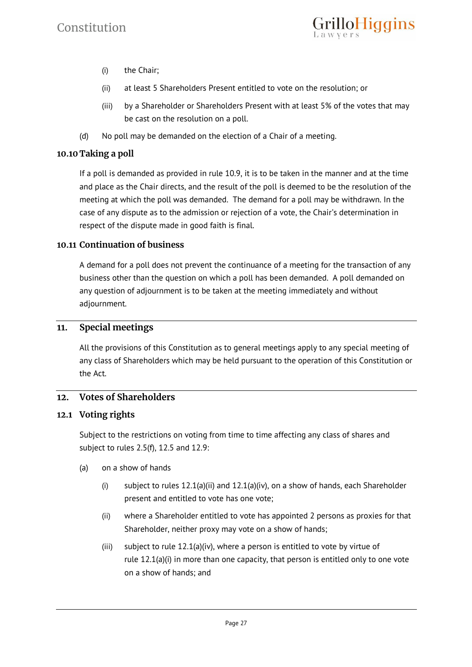

- (i) the Chair;
- (ii) at least 5 Shareholders Present entitled to vote on the resolution; or
- (iii) by a Shareholder or Shareholders Present with at least 5% of the votes that may be cast on the resolution on a poll.
- (d) No poll may be demanded on the election of a Chair of a meeting.

#### **10.10 Taking a poll**

If a poll is demanded as provided in rule 10.9, it is to be taken in the manner and at the time and place as the Chair directs, and the result of the poll is deemed to be the resolution of the meeting at which the poll was demanded. The demand for a poll may be withdrawn. In the case of any dispute as to the admission or rejection of a vote, the Chair's determination in respect of the dispute made in good faith is final.

#### **10.11 Continuation of business**

A demand for a poll does not prevent the continuance of a meeting for the transaction of any business other than the question on which a poll has been demanded. A poll demanded on any question of adjournment is to be taken at the meeting immediately and without adjournment.

#### **11. Special meetings**

All the provisions of this Constitution as to general meetings apply to any special meeting of any class of Shareholders which may be held pursuant to the operation of this Constitution or the Act.

# **12. Votes of Shareholders**

#### **12.1 Voting rights**

Subject to the restrictions on voting from time to time affecting any class of shares and subject to rules 2.5(f), 12.5 and 12.9:

- (a) on a show of hands
	- (i) subject to rules  $12.1(a)(ii)$  and  $12.1(a)(iv)$ , on a show of hands, each Shareholder present and entitled to vote has one vote;
	- (ii) where a Shareholder entitled to vote has appointed 2 persons as proxies for that Shareholder, neither proxy may vote on a show of hands;
	- (iii) subject to rule  $12.1(a)(iv)$ , where a person is entitled to vote by virtue of rule 12.1(a)(i) in more than one capacity, that person is entitled only to one vote on a show of hands; and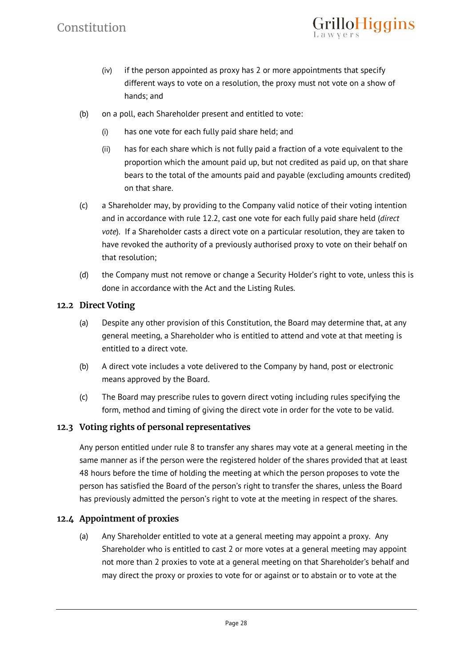(iv) if the person appointed as proxy has 2 or more appointments that specify different ways to vote on a resolution, the proxy must not vote on a show of hands; and

illoHiggins

- (b) on a poll, each Shareholder present and entitled to vote:
	- (i) has one vote for each fully paid share held; and
	- (ii) has for each share which is not fully paid a fraction of a vote equivalent to the proportion which the amount paid up, but not credited as paid up, on that share bears to the total of the amounts paid and payable (excluding amounts credited) on that share.
- (c) a Shareholder may, by providing to the Company valid notice of their voting intention and in accordance with rule 12.2, cast one vote for each fully paid share held (*direct vote*). If a Shareholder casts a direct vote on a particular resolution, they are taken to have revoked the authority of a previously authorised proxy to vote on their behalf on that resolution;
- (d) the Company must not remove or change a Security Holder's right to vote, unless this is done in accordance with the Act and the Listing Rules.

# **12.2 Direct Voting**

- (a) Despite any other provision of this Constitution, the Board may determine that, at any general meeting, a Shareholder who is entitled to attend and vote at that meeting is entitled to a direct vote.
- (b) A direct vote includes a vote delivered to the Company by hand, post or electronic means approved by the Board.
- (c) The Board may prescribe rules to govern direct voting including rules specifying the form, method and timing of giving the direct vote in order for the vote to be valid.

# **12.3 Voting rights of personal representatives**

Any person entitled under rule 8 to transfer any shares may vote at a general meeting in the same manner as if the person were the registered holder of the shares provided that at least 48 hours before the time of holding the meeting at which the person proposes to vote the person has satisfied the Board of the person's right to transfer the shares, unless the Board has previously admitted the person's right to vote at the meeting in respect of the shares.

# **12.4 Appointment of proxies**

(a) Any Shareholder entitled to vote at a general meeting may appoint a proxy. Any Shareholder who is entitled to cast 2 or more votes at a general meeting may appoint not more than 2 proxies to vote at a general meeting on that Shareholder's behalf and may direct the proxy or proxies to vote for or against or to abstain or to vote at the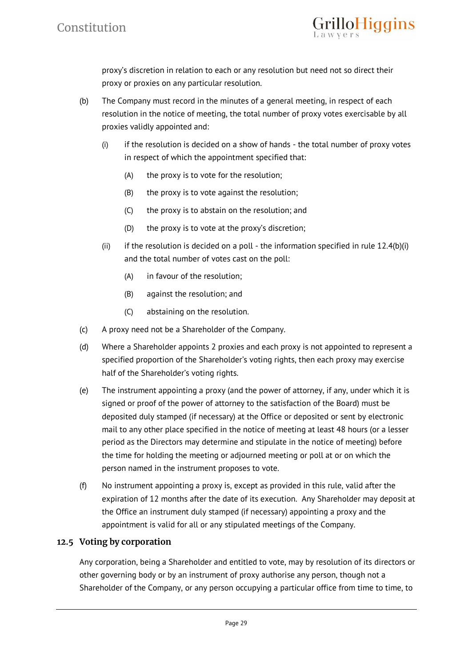

proxy's discretion in relation to each or any resolution but need not so direct their proxy or proxies on any particular resolution.

- (b) The Company must record in the minutes of a general meeting, in respect of each resolution in the notice of meeting, the total number of proxy votes exercisable by all proxies validly appointed and:
	- $(i)$  if the resolution is decided on a show of hands the total number of proxy votes in respect of which the appointment specified that:
		- (A) the proxy is to vote for the resolution;
		- (B) the proxy is to vote against the resolution;
		- (C) the proxy is to abstain on the resolution; and
		- (D) the proxy is to vote at the proxy's discretion;
	- (ii) if the resolution is decided on a poll the information specified in rule  $12.4(b)(i)$ and the total number of votes cast on the poll:
		- (A) in favour of the resolution;
		- (B) against the resolution; and
		- (C) abstaining on the resolution.
- (c) A proxy need not be a Shareholder of the Company.
- (d) Where a Shareholder appoints 2 proxies and each proxy is not appointed to represent a specified proportion of the Shareholder's voting rights, then each proxy may exercise half of the Shareholder's voting rights.
- (e) The instrument appointing a proxy (and the power of attorney, if any, under which it is signed or proof of the power of attorney to the satisfaction of the Board) must be deposited duly stamped (if necessary) at the Office or deposited or sent by electronic mail to any other place specified in the notice of meeting at least 48 hours (or a lesser period as the Directors may determine and stipulate in the notice of meeting) before the time for holding the meeting or adjourned meeting or poll at or on which the person named in the instrument proposes to vote.
- (f) No instrument appointing a proxy is, except as provided in this rule, valid after the expiration of 12 months after the date of its execution. Any Shareholder may deposit at the Office an instrument duly stamped (if necessary) appointing a proxy and the appointment is valid for all or any stipulated meetings of the Company.

# **12.5 Voting by corporation**

Any corporation, being a Shareholder and entitled to vote, may by resolution of its directors or other governing body or by an instrument of proxy authorise any person, though not a Shareholder of the Company, or any person occupying a particular office from time to time, to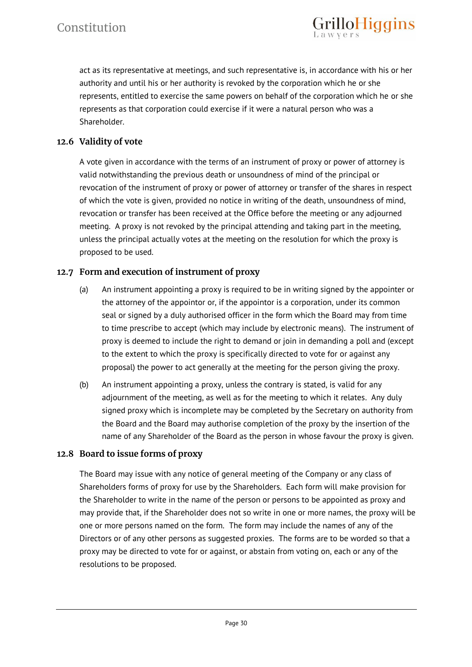act as its representative at meetings, and such representative is, in accordance with his or her authority and until his or her authority is revoked by the corporation which he or she represents, entitled to exercise the same powers on behalf of the corporation which he or she represents as that corporation could exercise if it were a natural person who was a Shareholder.

rilloHiggins

# **12.6 Validity of vote**

A vote given in accordance with the terms of an instrument of proxy or power of attorney is valid notwithstanding the previous death or unsoundness of mind of the principal or revocation of the instrument of proxy or power of attorney or transfer of the shares in respect of which the vote is given, provided no notice in writing of the death, unsoundness of mind, revocation or transfer has been received at the Office before the meeting or any adjourned meeting. A proxy is not revoked by the principal attending and taking part in the meeting, unless the principal actually votes at the meeting on the resolution for which the proxy is proposed to be used.

# **12.7 Form and execution of instrument of proxy**

- (a) An instrument appointing a proxy is required to be in writing signed by the appointer or the attorney of the appointor or, if the appointor is a corporation, under its common seal or signed by a duly authorised officer in the form which the Board may from time to time prescribe to accept (which may include by electronic means). The instrument of proxy is deemed to include the right to demand or join in demanding a poll and (except to the extent to which the proxy is specifically directed to vote for or against any proposal) the power to act generally at the meeting for the person giving the proxy.
- (b) An instrument appointing a proxy, unless the contrary is stated, is valid for any adjournment of the meeting, as well as for the meeting to which it relates. Any duly signed proxy which is incomplete may be completed by the Secretary on authority from the Board and the Board may authorise completion of the proxy by the insertion of the name of any Shareholder of the Board as the person in whose favour the proxy is given.

# **12.8 Board to issue forms of proxy**

The Board may issue with any notice of general meeting of the Company or any class of Shareholders forms of proxy for use by the Shareholders. Each form will make provision for the Shareholder to write in the name of the person or persons to be appointed as proxy and may provide that, if the Shareholder does not so write in one or more names, the proxy will be one or more persons named on the form. The form may include the names of any of the Directors or of any other persons as suggested proxies. The forms are to be worded so that a proxy may be directed to vote for or against, or abstain from voting on, each or any of the resolutions to be proposed.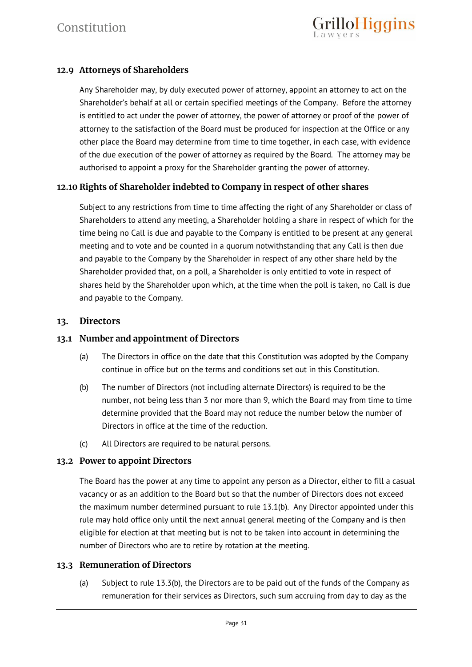# **12.9 Attorneys of Shareholders**

Any Shareholder may, by duly executed power of attorney, appoint an attorney to act on the Shareholder's behalf at all or certain specified meetings of the Company. Before the attorney is entitled to act under the power of attorney, the power of attorney or proof of the power of attorney to the satisfaction of the Board must be produced for inspection at the Office or any other place the Board may determine from time to time together, in each case, with evidence of the due execution of the power of attorney as required by the Board. The attorney may be authorised to appoint a proxy for the Shareholder granting the power of attorney.

# **12.10 Rights of Shareholder indebted to Company in respect of other shares**

Subject to any restrictions from time to time affecting the right of any Shareholder or class of Shareholders to attend any meeting, a Shareholder holding a share in respect of which for the time being no Call is due and payable to the Company is entitled to be present at any general meeting and to vote and be counted in a quorum notwithstanding that any Call is then due and payable to the Company by the Shareholder in respect of any other share held by the Shareholder provided that, on a poll, a Shareholder is only entitled to vote in respect of shares held by the Shareholder upon which, at the time when the poll is taken, no Call is due and payable to the Company.

# **13. Directors**

#### **13.1 Number and appointment of Directors**

- (a) The Directors in office on the date that this Constitution was adopted by the Company continue in office but on the terms and conditions set out in this Constitution.
- (b) The number of Directors (not including alternate Directors) is required to be the number, not being less than 3 nor more than 9, which the Board may from time to time determine provided that the Board may not reduce the number below the number of Directors in office at the time of the reduction.
- (c) All Directors are required to be natural persons.

#### **13.2 Power to appoint Directors**

The Board has the power at any time to appoint any person as a Director, either to fill a casual vacancy or as an addition to the Board but so that the number of Directors does not exceed the maximum number determined pursuant to rule 13.1(b). Any Director appointed under this rule may hold office only until the next annual general meeting of the Company and is then eligible for election at that meeting but is not to be taken into account in determining the number of Directors who are to retire by rotation at the meeting.

# **13.3 Remuneration of Directors**

(a) Subject to rule 13.3(b), the Directors are to be paid out of the funds of the Company as remuneration for their services as Directors, such sum accruing from day to day as the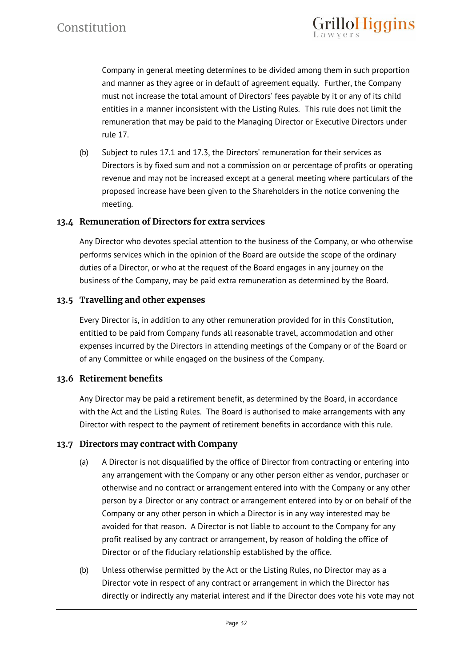

Company in general meeting determines to be divided among them in such proportion and manner as they agree or in default of agreement equally. Further, the Company must not increase the total amount of Directors' fees payable by it or any of its child entities in a manner inconsistent with the Listing Rules. This rule does not limit the remuneration that may be paid to the Managing Director or Executive Directors under rule 17.

(b) Subject to rules 17.1 and 17.3, the Directors' remuneration for their services as Directors is by fixed sum and not a commission on or percentage of profits or operating revenue and may not be increased except at a general meeting where particulars of the proposed increase have been given to the Shareholders in the notice convening the meeting.

#### **13.4 Remuneration of Directors for extra services**

Any Director who devotes special attention to the business of the Company, or who otherwise performs services which in the opinion of the Board are outside the scope of the ordinary duties of a Director, or who at the request of the Board engages in any journey on the business of the Company, may be paid extra remuneration as determined by the Board.

#### **13.5 Travelling and other expenses**

Every Director is, in addition to any other remuneration provided for in this Constitution, entitled to be paid from Company funds all reasonable travel, accommodation and other expenses incurred by the Directors in attending meetings of the Company or of the Board or of any Committee or while engaged on the business of the Company.

# **13.6 Retirement benefits**

Any Director may be paid a retirement benefit, as determined by the Board, in accordance with the Act and the Listing Rules. The Board is authorised to make arrangements with any Director with respect to the payment of retirement benefits in accordance with this rule.

#### **13.7 Directors may contract with Company**

- (a) A Director is not disqualified by the office of Director from contracting or entering into any arrangement with the Company or any other person either as vendor, purchaser or otherwise and no contract or arrangement entered into with the Company or any other person by a Director or any contract or arrangement entered into by or on behalf of the Company or any other person in which a Director is in any way interested may be avoided for that reason. A Director is not liable to account to the Company for any profit realised by any contract or arrangement, by reason of holding the office of Director or of the fiduciary relationship established by the office.
- (b) Unless otherwise permitted by the Act or the Listing Rules, no Director may as a Director vote in respect of any contract or arrangement in which the Director has directly or indirectly any material interest and if the Director does vote his vote may not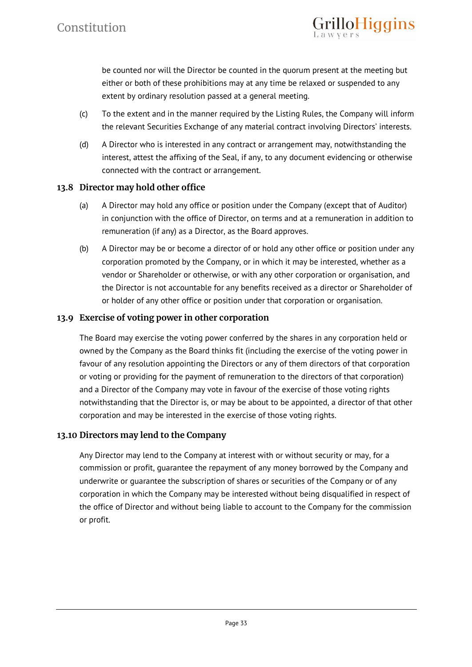be counted nor will the Director be counted in the quorum present at the meeting but either or both of these prohibitions may at any time be relaxed or suspended to any extent by ordinary resolution passed at a general meeting.

illoHiggins

- (c) To the extent and in the manner required by the Listing Rules, the Company will inform the relevant Securities Exchange of any material contract involving Directors' interests.
- (d) A Director who is interested in any contract or arrangement may, notwithstanding the interest, attest the affixing of the Seal, if any, to any document evidencing or otherwise connected with the contract or arrangement.

# **13.8 Director may hold other office**

- (a) A Director may hold any office or position under the Company (except that of Auditor) in conjunction with the office of Director, on terms and at a remuneration in addition to remuneration (if any) as a Director, as the Board approves.
- (b) A Director may be or become a director of or hold any other office or position under any corporation promoted by the Company, or in which it may be interested, whether as a vendor or Shareholder or otherwise, or with any other corporation or organisation, and the Director is not accountable for any benefits received as a director or Shareholder of or holder of any other office or position under that corporation or organisation.

# **13.9 Exercise of voting power in other corporation**

The Board may exercise the voting power conferred by the shares in any corporation held or owned by the Company as the Board thinks fit (including the exercise of the voting power in favour of any resolution appointing the Directors or any of them directors of that corporation or voting or providing for the payment of remuneration to the directors of that corporation) and a Director of the Company may vote in favour of the exercise of those voting rights notwithstanding that the Director is, or may be about to be appointed, a director of that other corporation and may be interested in the exercise of those voting rights.

# **13.10 Directors may lend to the Company**

Any Director may lend to the Company at interest with or without security or may, for a commission or profit, guarantee the repayment of any money borrowed by the Company and underwrite or guarantee the subscription of shares or securities of the Company or of any corporation in which the Company may be interested without being disqualified in respect of the office of Director and without being liable to account to the Company for the commission or profit.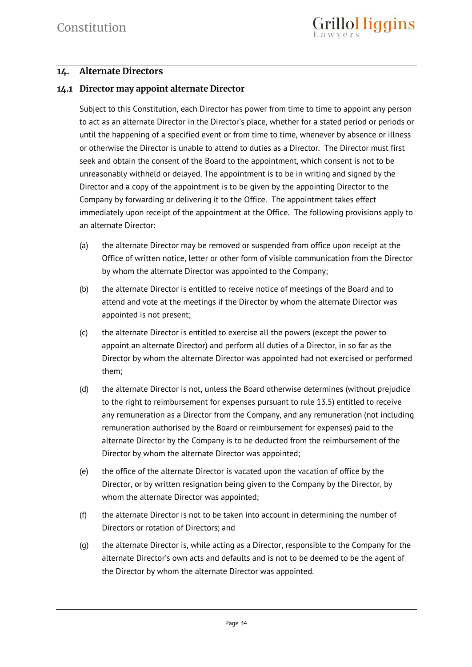# **14. Alternate Directors**

# **14.1 Director may appoint alternate Director**

Subject to this Constitution, each Director has power from time to time to appoint any person to act as an alternate Director in the Director's place, whether for a stated period or periods or until the happening of a specified event or from time to time, whenever by absence or illness or otherwise the Director is unable to attend to duties as a Director. The Director must first seek and obtain the consent of the Board to the appointment, which consent is not to be unreasonably withheld or delayed. The appointment is to be in writing and signed by the Director and a copy of the appointment is to be given by the appointing Director to the Company by forwarding or delivering it to the Office. The appointment takes effect immediately upon receipt of the appointment at the Office. The following provisions apply to an alternate Director:

- (a) the alternate Director may be removed or suspended from office upon receipt at the Office of written notice, letter or other form of visible communication from the Director by whom the alternate Director was appointed to the Company;
- (b) the alternate Director is entitled to receive notice of meetings of the Board and to attend and vote at the meetings if the Director by whom the alternate Director was appointed is not present;
- (c) the alternate Director is entitled to exercise all the powers (except the power to appoint an alternate Director) and perform all duties of a Director, in so far as the Director by whom the alternate Director was appointed had not exercised or performed them;
- (d) the alternate Director is not, unless the Board otherwise determines (without prejudice to the right to reimbursement for expenses pursuant to rule 13.5) entitled to receive any remuneration as a Director from the Company, and any remuneration (not including remuneration authorised by the Board or reimbursement for expenses) paid to the alternate Director by the Company is to be deducted from the reimbursement of the Director by whom the alternate Director was appointed;
- (e) the office of the alternate Director is vacated upon the vacation of office by the Director, or by written resignation being given to the Company by the Director, by whom the alternate Director was appointed;
- (f) the alternate Director is not to be taken into account in determining the number of Directors or rotation of Directors; and
- (g) the alternate Director is, while acting as a Director, responsible to the Company for the alternate Director's own acts and defaults and is not to be deemed to be the agent of the Director by whom the alternate Director was appointed.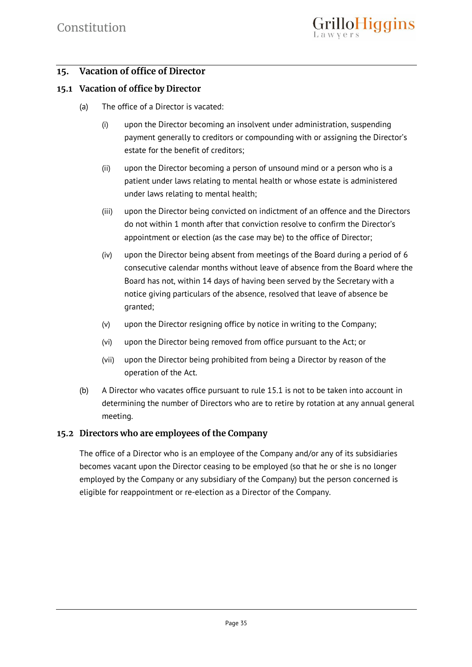# **15. Vacation of office of Director**

# **15.1 Vacation of office by Director**

- (a) The office of a Director is vacated:
	- (i) upon the Director becoming an insolvent under administration, suspending payment generally to creditors or compounding with or assigning the Director's estate for the benefit of creditors;
	- (ii) upon the Director becoming a person of unsound mind or a person who is a patient under laws relating to mental health or whose estate is administered under laws relating to mental health;
	- (iii) upon the Director being convicted on indictment of an offence and the Directors do not within 1 month after that conviction resolve to confirm the Director's appointment or election (as the case may be) to the office of Director;
	- (iv) upon the Director being absent from meetings of the Board during a period of 6 consecutive calendar months without leave of absence from the Board where the Board has not, within 14 days of having been served by the Secretary with a notice giving particulars of the absence, resolved that leave of absence be granted;
	- (v) upon the Director resigning office by notice in writing to the Company;
	- (vi) upon the Director being removed from office pursuant to the Act; or
	- (vii) upon the Director being prohibited from being a Director by reason of the operation of the Act.
- (b) A Director who vacates office pursuant to rule 15.1 is not to be taken into account in determining the number of Directors who are to retire by rotation at any annual general meeting.

# **15.2 Directors who are employees of the Company**

The office of a Director who is an employee of the Company and/or any of its subsidiaries becomes vacant upon the Director ceasing to be employed (so that he or she is no longer employed by the Company or any subsidiary of the Company) but the person concerned is eligible for reappointment or re-election as a Director of the Company.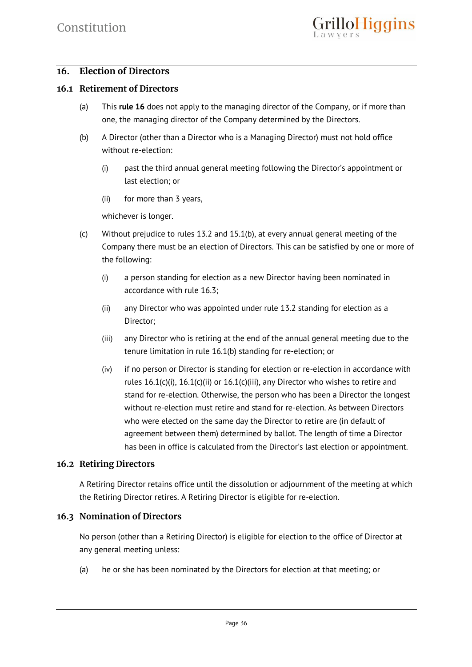# **16. Election of Directors**

#### **16.1 Retirement of Directors**

- (a) This **rule 16** does not apply to the managing director of the Company, or if more than one, the managing director of the Company determined by the Directors.
- (b) A Director (other than a Director who is a Managing Director) must not hold office without re-election:
	- (i) past the third annual general meeting following the Director's appointment or last election; or
	- (ii) for more than 3 years,

whichever is longer.

- (c) Without prejudice to rules 13.2 and 15.1(b), at every annual general meeting of the Company there must be an election of Directors. This can be satisfied by one or more of the following:
	- (i) a person standing for election as a new Director having been nominated in accordance with rule 16.3;
	- (ii) any Director who was appointed under rule 13.2 standing for election as a Director;
	- (iii) any Director who is retiring at the end of the annual general meeting due to the tenure limitation in rule 16.1(b) standing for re-election; or
	- (iv) if no person or Director is standing for election or re-election in accordance with rules 16.1(c)(i), 16.1(c)(ii) or 16.1(c)(iii), any Director who wishes to retire and stand for re-election. Otherwise, the person who has been a Director the longest without re-election must retire and stand for re-election. As between Directors who were elected on the same day the Director to retire are (in default of agreement between them) determined by ballot. The length of time a Director has been in office is calculated from the Director's last election or appointment.

# **16.2 Retiring Directors**

A Retiring Director retains office until the dissolution or adjournment of the meeting at which the Retiring Director retires. A Retiring Director is eligible for re-election.

#### **16.3 Nomination of Directors**

No person (other than a Retiring Director) is eligible for election to the office of Director at any general meeting unless:

(a) he or she has been nominated by the Directors for election at that meeting; or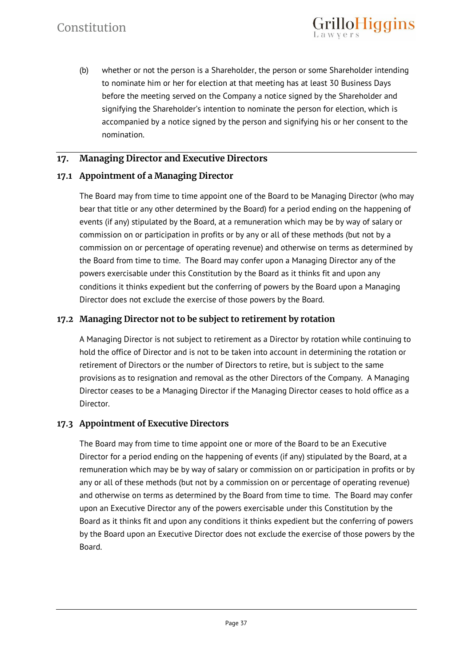(b) whether or not the person is a Shareholder, the person or some Shareholder intending to nominate him or her for election at that meeting has at least 30 Business Days before the meeting served on the Company a notice signed by the Shareholder and signifying the Shareholder's intention to nominate the person for election, which is accompanied by a notice signed by the person and signifying his or her consent to the nomination.

illoHiggins

# **17. Managing Director and Executive Directors**

#### **17.1 Appointment of a Managing Director**

The Board may from time to time appoint one of the Board to be Managing Director (who may bear that title or any other determined by the Board) for a period ending on the happening of events (if any) stipulated by the Board, at a remuneration which may be by way of salary or commission on or participation in profits or by any or all of these methods (but not by a commission on or percentage of operating revenue) and otherwise on terms as determined by the Board from time to time. The Board may confer upon a Managing Director any of the powers exercisable under this Constitution by the Board as it thinks fit and upon any conditions it thinks expedient but the conferring of powers by the Board upon a Managing Director does not exclude the exercise of those powers by the Board.

#### **17.2 Managing Director not to be subject to retirement by rotation**

A Managing Director is not subject to retirement as a Director by rotation while continuing to hold the office of Director and is not to be taken into account in determining the rotation or retirement of Directors or the number of Directors to retire, but is subject to the same provisions as to resignation and removal as the other Directors of the Company. A Managing Director ceases to be a Managing Director if the Managing Director ceases to hold office as a Director.

#### **17.3 Appointment of Executive Directors**

The Board may from time to time appoint one or more of the Board to be an Executive Director for a period ending on the happening of events (if any) stipulated by the Board, at a remuneration which may be by way of salary or commission on or participation in profits or by any or all of these methods (but not by a commission on or percentage of operating revenue) and otherwise on terms as determined by the Board from time to time. The Board may confer upon an Executive Director any of the powers exercisable under this Constitution by the Board as it thinks fit and upon any conditions it thinks expedient but the conferring of powers by the Board upon an Executive Director does not exclude the exercise of those powers by the Board.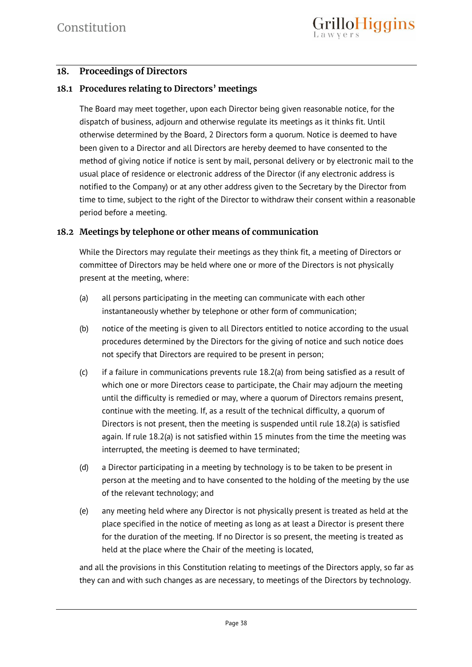# **18. Proceedings of Directors**

# **18.1 Procedures relating to Directors' meetings**

The Board may meet together, upon each Director being given reasonable notice, for the dispatch of business, adjourn and otherwise regulate its meetings as it thinks fit. Until otherwise determined by the Board, 2 Directors form a quorum. Notice is deemed to have been given to a Director and all Directors are hereby deemed to have consented to the method of giving notice if notice is sent by mail, personal delivery or by electronic mail to the usual place of residence or electronic address of the Director (if any electronic address is notified to the Company) or at any other address given to the Secretary by the Director from time to time, subject to the right of the Director to withdraw their consent within a reasonable period before a meeting.

# **18.2 Meetings by telephone or other means of communication**

While the Directors may regulate their meetings as they think fit, a meeting of Directors or committee of Directors may be held where one or more of the Directors is not physically present at the meeting, where:

- (a) all persons participating in the meeting can communicate with each other instantaneously whether by telephone or other form of communication;
- (b) notice of the meeting is given to all Directors entitled to notice according to the usual procedures determined by the Directors for the giving of notice and such notice does not specify that Directors are required to be present in person;
- (c) if a failure in communications prevents rule 18.2(a) from being satisfied as a result of which one or more Directors cease to participate, the Chair may adjourn the meeting until the difficulty is remedied or may, where a quorum of Directors remains present, continue with the meeting. If, as a result of the technical difficulty, a quorum of Directors is not present, then the meeting is suspended until rule 18.2(a) is satisfied again. If rule 18.2(a) is not satisfied within 15 minutes from the time the meeting was interrupted, the meeting is deemed to have terminated;
- (d) a Director participating in a meeting by technology is to be taken to be present in person at the meeting and to have consented to the holding of the meeting by the use of the relevant technology; and
- (e) any meeting held where any Director is not physically present is treated as held at the place specified in the notice of meeting as long as at least a Director is present there for the duration of the meeting. If no Director is so present, the meeting is treated as held at the place where the Chair of the meeting is located,

and all the provisions in this Constitution relating to meetings of the Directors apply, so far as they can and with such changes as are necessary, to meetings of the Directors by technology.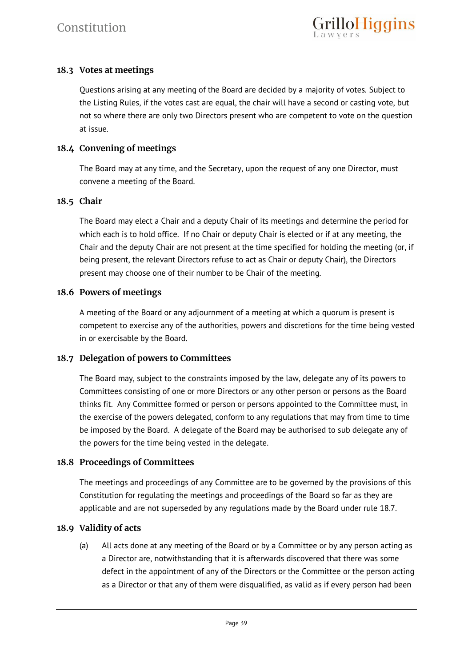# **18.3 Votes at meetings**

Questions arising at any meeting of the Board are decided by a majority of votes. Subject to the Listing Rules, if the votes cast are equal, the chair will have a second or casting vote, but not so where there are only two Directors present who are competent to vote on the question at issue.

# **18.4 Convening of meetings**

The Board may at any time, and the Secretary, upon the request of any one Director, must convene a meeting of the Board.

# **18.5 Chair**

The Board may elect a Chair and a deputy Chair of its meetings and determine the period for which each is to hold office. If no Chair or deputy Chair is elected or if at any meeting, the Chair and the deputy Chair are not present at the time specified for holding the meeting (or, if being present, the relevant Directors refuse to act as Chair or deputy Chair), the Directors present may choose one of their number to be Chair of the meeting.

#### **18.6 Powers of meetings**

A meeting of the Board or any adjournment of a meeting at which a quorum is present is competent to exercise any of the authorities, powers and discretions for the time being vested in or exercisable by the Board.

# **18.7 Delegation of powers to Committees**

The Board may, subject to the constraints imposed by the law, delegate any of its powers to Committees consisting of one or more Directors or any other person or persons as the Board thinks fit. Any Committee formed or person or persons appointed to the Committee must, in the exercise of the powers delegated, conform to any regulations that may from time to time be imposed by the Board. A delegate of the Board may be authorised to sub delegate any of the powers for the time being vested in the delegate.

#### **18.8 Proceedings of Committees**

The meetings and proceedings of any Committee are to be governed by the provisions of this Constitution for regulating the meetings and proceedings of the Board so far as they are applicable and are not superseded by any regulations made by the Board under rule 18.7.

# **18.9 Validity of acts**

(a) All acts done at any meeting of the Board or by a Committee or by any person acting as a Director are, notwithstanding that it is afterwards discovered that there was some defect in the appointment of any of the Directors or the Committee or the person acting as a Director or that any of them were disqualified, as valid as if every person had been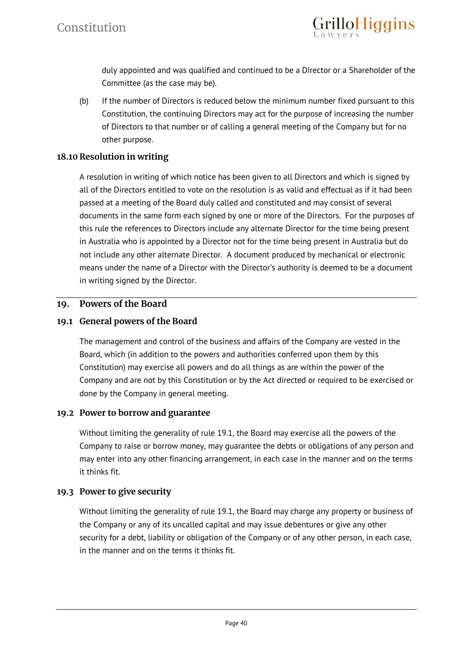

duly appointed and was qualified and continued to be a Director or a Shareholder of the Committee (as the case may be).

(b) If the number of Directors is reduced below the minimum number fixed pursuant to this Constitution, the continuing Directors may act for the purpose of increasing the number of Directors to that number or of calling a general meeting of the Company but for no other purpose.

# **18.10 Resolution in writing**

A resolution in writing of which notice has been given to all Directors and which is signed by all of the Directors entitled to vote on the resolution is as valid and effectual as if it had been passed at a meeting of the Board duly called and constituted and may consist of several documents in the same form each signed by one or more of the Directors. For the purposes of this rule the references to Directors include any alternate Director for the time being present in Australia who is appointed by a Director not for the time being present in Australia but do not include any other alternate Director. A document produced by mechanical or electronic means under the name of a Director with the Director's authority is deemed to be a document in writing signed by the Director.

#### **19. Powers of the Board**

# **19.1 General powers of the Board**

The management and control of the business and affairs of the Company are vested in the Board, which (in addition to the powers and authorities conferred upon them by this Constitution) may exercise all powers and do all things as are within the power of the Company and are not by this Constitution or by the Act directed or required to be exercised or done by the Company in general meeting.

#### **19.2 Power to borrow and guarantee**

Without limiting the generality of rule 19.1, the Board may exercise all the powers of the Company to raise or borrow money, may guarantee the debts or obligations of any person and may enter into any other financing arrangement, in each case in the manner and on the terms it thinks fit.

# **19.3 Power to give security**

Without limiting the generality of rule 19.1, the Board may charge any property or business of the Company or any of its uncalled capital and may issue debentures or give any other security for a debt, liability or obligation of the Company or of any other person, in each case, in the manner and on the terms it thinks fit.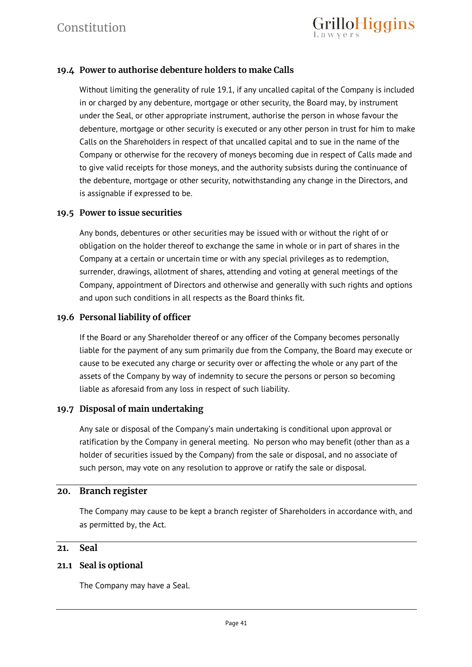

# **19.4 Power to authorise debenture holders to make Calls**

Without limiting the generality of rule 19.1, if any uncalled capital of the Company is included in or charged by any debenture, mortgage or other security, the Board may, by instrument under the Seal, or other appropriate instrument, authorise the person in whose favour the debenture, mortgage or other security is executed or any other person in trust for him to make Calls on the Shareholders in respect of that uncalled capital and to sue in the name of the Company or otherwise for the recovery of moneys becoming due in respect of Calls made and to give valid receipts for those moneys, and the authority subsists during the continuance of the debenture, mortgage or other security, notwithstanding any change in the Directors, and is assignable if expressed to be.

#### **19.5 Power to issue securities**

Any bonds, debentures or other securities may be issued with or without the right of or obligation on the holder thereof to exchange the same in whole or in part of shares in the Company at a certain or uncertain time or with any special privileges as to redemption, surrender, drawings, allotment of shares, attending and voting at general meetings of the Company, appointment of Directors and otherwise and generally with such rights and options and upon such conditions in all respects as the Board thinks fit.

# **19.6 Personal liability of officer**

If the Board or any Shareholder thereof or any officer of the Company becomes personally liable for the payment of any sum primarily due from the Company, the Board may execute or cause to be executed any charge or security over or affecting the whole or any part of the assets of the Company by way of indemnity to secure the persons or person so becoming liable as aforesaid from any loss in respect of such liability.

# **19.7 Disposal of main undertaking**

Any sale or disposal of the Company's main undertaking is conditional upon approval or ratification by the Company in general meeting. No person who may benefit (other than as a holder of securities issued by the Company) from the sale or disposal, and no associate of such person, may vote on any resolution to approve or ratify the sale or disposal.

#### **20. Branch register**

The Company may cause to be kept a branch register of Shareholders in accordance with, and as permitted by, the Act.

#### **21. Seal**

#### **21.1 Seal is optional**

The Company may have a Seal.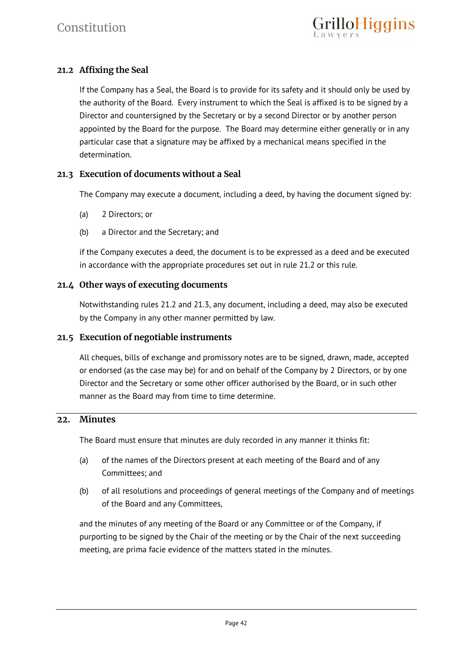# **21.2 Affixing the Seal**

If the Company has a Seal, the Board is to provide for its safety and it should only be used by the authority of the Board. Every instrument to which the Seal is affixed is to be signed by a Director and countersigned by the Secretary or by a second Director or by another person appointed by the Board for the purpose. The Board may determine either generally or in any particular case that a signature may be affixed by a mechanical means specified in the determination.

# **21.3 Execution of documents without a Seal**

The Company may execute a document, including a deed, by having the document signed by:

- (a) 2 Directors; or
- (b) a Director and the Secretary; and

if the Company executes a deed, the document is to be expressed as a deed and be executed in accordance with the appropriate procedures set out in rule 21.2 or this rule.

# **21.4 Other ways of executing documents**

Notwithstanding rules 21.2 and 21.3, any document, including a deed, may also be executed by the Company in any other manner permitted by law.

# **21.5 Execution of negotiable instruments**

All cheques, bills of exchange and promissory notes are to be signed, drawn, made, accepted or endorsed (as the case may be) for and on behalf of the Company by 2 Directors, or by one Director and the Secretary or some other officer authorised by the Board, or in such other manner as the Board may from time to time determine.

# **22. Minutes**

The Board must ensure that minutes are duly recorded in any manner it thinks fit:

- (a) of the names of the Directors present at each meeting of the Board and of any Committees; and
- (b) of all resolutions and proceedings of general meetings of the Company and of meetings of the Board and any Committees,

and the minutes of any meeting of the Board or any Committee or of the Company, if purporting to be signed by the Chair of the meeting or by the Chair of the next succeeding meeting, are prima facie evidence of the matters stated in the minutes.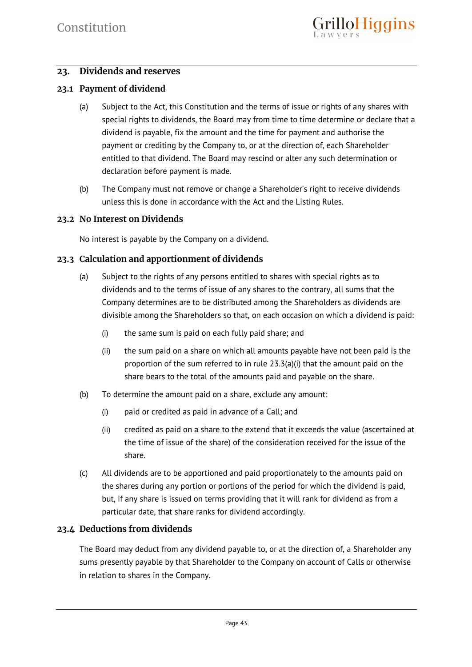# **23. Dividends and reserves**

# **23.1 Payment of dividend**

- (a) Subject to the Act, this Constitution and the terms of issue or rights of any shares with special rights to dividends, the Board may from time to time determine or declare that a dividend is payable, fix the amount and the time for payment and authorise the payment or crediting by the Company to, or at the direction of, each Shareholder entitled to that dividend. The Board may rescind or alter any such determination or declaration before payment is made.
- (b) The Company must not remove or change a Shareholder's right to receive dividends unless this is done in accordance with the Act and the Listing Rules.

#### **23.2 No Interest on Dividends**

No interest is payable by the Company on a dividend.

# **23.3 Calculation and apportionment of dividends**

- (a) Subject to the rights of any persons entitled to shares with special rights as to dividends and to the terms of issue of any shares to the contrary, all sums that the Company determines are to be distributed among the Shareholders as dividends are divisible among the Shareholders so that, on each occasion on which a dividend is paid:
	- (i) the same sum is paid on each fully paid share; and
	- (ii) the sum paid on a share on which all amounts payable have not been paid is the proportion of the sum referred to in rule 23.3(a)(i) that the amount paid on the share bears to the total of the amounts paid and payable on the share.
- (b) To determine the amount paid on a share, exclude any amount:
	- (i) paid or credited as paid in advance of a Call; and
	- (ii) credited as paid on a share to the extend that it exceeds the value (ascertained at the time of issue of the share) of the consideration received for the issue of the share.
- (c) All dividends are to be apportioned and paid proportionately to the amounts paid on the shares during any portion or portions of the period for which the dividend is paid, but, if any share is issued on terms providing that it will rank for dividend as from a particular date, that share ranks for dividend accordingly.

# **23.4 Deductions from dividends**

The Board may deduct from any dividend payable to, or at the direction of, a Shareholder any sums presently payable by that Shareholder to the Company on account of Calls or otherwise in relation to shares in the Company.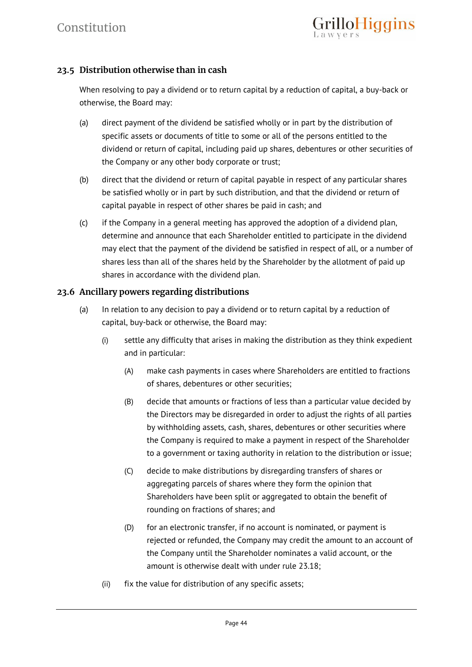# **23.5 Distribution otherwise than in cash**

When resolving to pay a dividend or to return capital by a reduction of capital, a buy-back or otherwise, the Board may:

- (a) direct payment of the dividend be satisfied wholly or in part by the distribution of specific assets or documents of title to some or all of the persons entitled to the dividend or return of capital, including paid up shares, debentures or other securities of the Company or any other body corporate or trust;
- (b) direct that the dividend or return of capital payable in respect of any particular shares be satisfied wholly or in part by such distribution, and that the dividend or return of capital payable in respect of other shares be paid in cash; and
- (c) if the Company in a general meeting has approved the adoption of a dividend plan, determine and announce that each Shareholder entitled to participate in the dividend may elect that the payment of the dividend be satisfied in respect of all, or a number of shares less than all of the shares held by the Shareholder by the allotment of paid up shares in accordance with the dividend plan.

# **23.6 Ancillary powers regarding distributions**

- (a) In relation to any decision to pay a dividend or to return capital by a reduction of capital, buy-back or otherwise, the Board may:
	- (i) settle any difficulty that arises in making the distribution as they think expedient and in particular:
		- (A) make cash payments in cases where Shareholders are entitled to fractions of shares, debentures or other securities;
		- (B) decide that amounts or fractions of less than a particular value decided by the Directors may be disregarded in order to adjust the rights of all parties by withholding assets, cash, shares, debentures or other securities where the Company is required to make a payment in respect of the Shareholder to a government or taxing authority in relation to the distribution or issue;
		- (C) decide to make distributions by disregarding transfers of shares or aggregating parcels of shares where they form the opinion that Shareholders have been split or aggregated to obtain the benefit of rounding on fractions of shares; and
		- (D) for an electronic transfer, if no account is nominated, or payment is rejected or refunded, the Company may credit the amount to an account of the Company until the Shareholder nominates a valid account, or the amount is otherwise dealt with under rule 23.18;
	- (ii) fix the value for distribution of any specific assets;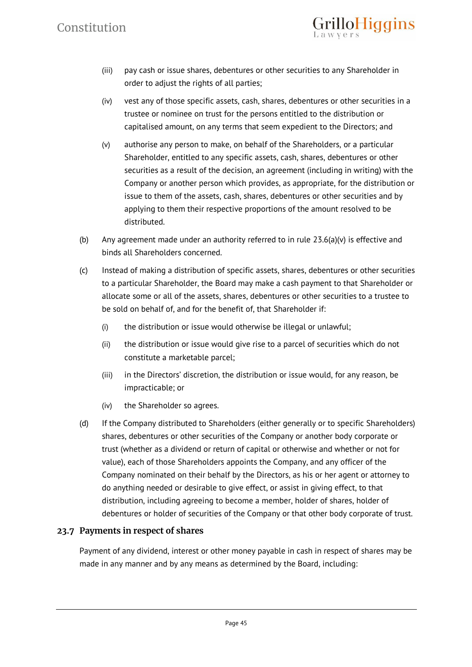(iii) pay cash or issue shares, debentures or other securities to any Shareholder in order to adjust the rights of all parties;

rilloHiggins

- (iv) vest any of those specific assets, cash, shares, debentures or other securities in a trustee or nominee on trust for the persons entitled to the distribution or capitalised amount, on any terms that seem expedient to the Directors; and
- (v) authorise any person to make, on behalf of the Shareholders, or a particular Shareholder, entitled to any specific assets, cash, shares, debentures or other securities as a result of the decision, an agreement (including in writing) with the Company or another person which provides, as appropriate, for the distribution or issue to them of the assets, cash, shares, debentures or other securities and by applying to them their respective proportions of the amount resolved to be distributed.
- (b) Any agreement made under an authority referred to in rule  $23.6(a)(v)$  is effective and binds all Shareholders concerned.
- (c) Instead of making a distribution of specific assets, shares, debentures or other securities to a particular Shareholder, the Board may make a cash payment to that Shareholder or allocate some or all of the assets, shares, debentures or other securities to a trustee to be sold on behalf of, and for the benefit of, that Shareholder if:
	- (i) the distribution or issue would otherwise be illegal or unlawful;
	- (ii) the distribution or issue would give rise to a parcel of securities which do not constitute a marketable parcel;
	- (iii) in the Directors' discretion, the distribution or issue would, for any reason, be impracticable; or
	- (iv) the Shareholder so agrees.
- (d) If the Company distributed to Shareholders (either generally or to specific Shareholders) shares, debentures or other securities of the Company or another body corporate or trust (whether as a dividend or return of capital or otherwise and whether or not for value), each of those Shareholders appoints the Company, and any officer of the Company nominated on their behalf by the Directors, as his or her agent or attorney to do anything needed or desirable to give effect, or assist in giving effect, to that distribution, including agreeing to become a member, holder of shares, holder of debentures or holder of securities of the Company or that other body corporate of trust.

# **23.7 Payments in respect of shares**

Payment of any dividend, interest or other money payable in cash in respect of shares may be made in any manner and by any means as determined by the Board, including: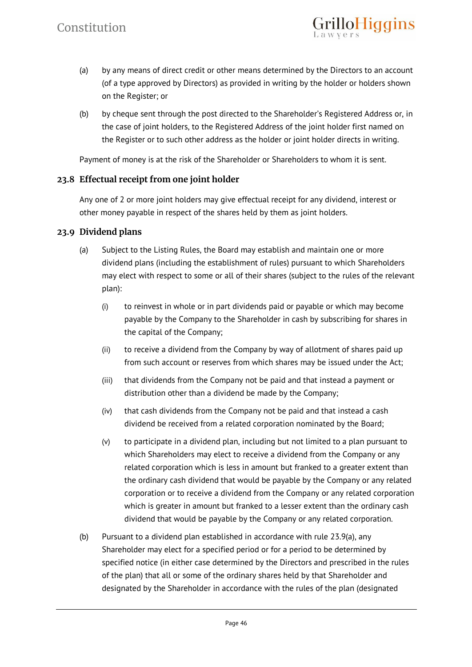(a) by any means of direct credit or other means determined by the Directors to an account (of a type approved by Directors) as provided in writing by the holder or holders shown on the Register; or

rilloHiggins

(b) by cheque sent through the post directed to the Shareholder's Registered Address or, in the case of joint holders, to the Registered Address of the joint holder first named on the Register or to such other address as the holder or joint holder directs in writing.

Payment of money is at the risk of the Shareholder or Shareholders to whom it is sent.

#### **23.8 Effectual receipt from one joint holder**

Any one of 2 or more joint holders may give effectual receipt for any dividend, interest or other money payable in respect of the shares held by them as joint holders.

#### **23.9 Dividend plans**

- (a) Subject to the Listing Rules, the Board may establish and maintain one or more dividend plans (including the establishment of rules) pursuant to which Shareholders may elect with respect to some or all of their shares (subject to the rules of the relevant plan):
	- (i) to reinvest in whole or in part dividends paid or payable or which may become payable by the Company to the Shareholder in cash by subscribing for shares in the capital of the Company;
	- (ii) to receive a dividend from the Company by way of allotment of shares paid up from such account or reserves from which shares may be issued under the Act;
	- (iii) that dividends from the Company not be paid and that instead a payment or distribution other than a dividend be made by the Company;
	- (iv) that cash dividends from the Company not be paid and that instead a cash dividend be received from a related corporation nominated by the Board;
	- (v) to participate in a dividend plan, including but not limited to a plan pursuant to which Shareholders may elect to receive a dividend from the Company or any related corporation which is less in amount but franked to a greater extent than the ordinary cash dividend that would be payable by the Company or any related corporation or to receive a dividend from the Company or any related corporation which is greater in amount but franked to a lesser extent than the ordinary cash dividend that would be payable by the Company or any related corporation.
- (b) Pursuant to a dividend plan established in accordance with rule 23.9(a), any Shareholder may elect for a specified period or for a period to be determined by specified notice (in either case determined by the Directors and prescribed in the rules of the plan) that all or some of the ordinary shares held by that Shareholder and designated by the Shareholder in accordance with the rules of the plan (designated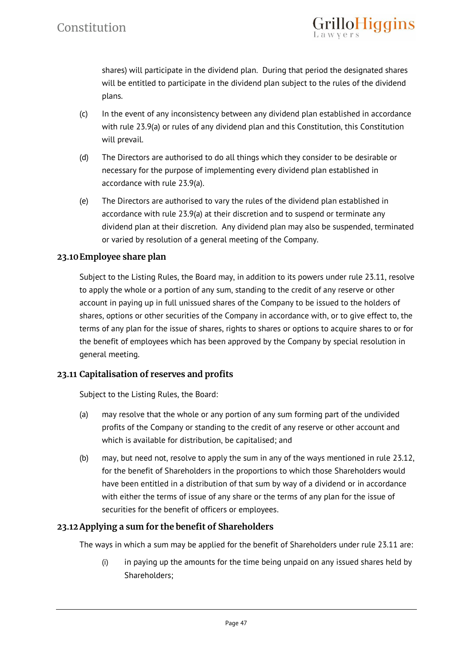

shares) will participate in the dividend plan. During that period the designated shares will be entitled to participate in the dividend plan subject to the rules of the dividend plans.

- (c) In the event of any inconsistency between any dividend plan established in accordance with rule 23.9(a) or rules of any dividend plan and this Constitution, this Constitution will prevail.
- (d) The Directors are authorised to do all things which they consider to be desirable or necessary for the purpose of implementing every dividend plan established in accordance with rule 23.9(a).
- (e) The Directors are authorised to vary the rules of the dividend plan established in accordance with rule 23.9(a) at their discretion and to suspend or terminate any dividend plan at their discretion. Any dividend plan may also be suspended, terminated or varied by resolution of a general meeting of the Company.

# **23.10Employee share plan**

Subject to the Listing Rules, the Board may, in addition to its powers under rule 23.11, resolve to apply the whole or a portion of any sum, standing to the credit of any reserve or other account in paying up in full unissued shares of the Company to be issued to the holders of shares, options or other securities of the Company in accordance with, or to give effect to, the terms of any plan for the issue of shares, rights to shares or options to acquire shares to or for the benefit of employees which has been approved by the Company by special resolution in general meeting.

# **23.11 Capitalisation of reserves and profits**

Subject to the Listing Rules, the Board:

- (a) may resolve that the whole or any portion of any sum forming part of the undivided profits of the Company or standing to the credit of any reserve or other account and which is available for distribution, be capitalised; and
- (b) may, but need not, resolve to apply the sum in any of the ways mentioned in rule 23.12, for the benefit of Shareholders in the proportions to which those Shareholders would have been entitled in a distribution of that sum by way of a dividend or in accordance with either the terms of issue of any share or the terms of any plan for the issue of securities for the benefit of officers or employees.

# **23.12 Applying a sum for the benefit of Shareholders**

The ways in which a sum may be applied for the benefit of Shareholders under rule 23.11 are:

(i) in paying up the amounts for the time being unpaid on any issued shares held by Shareholders;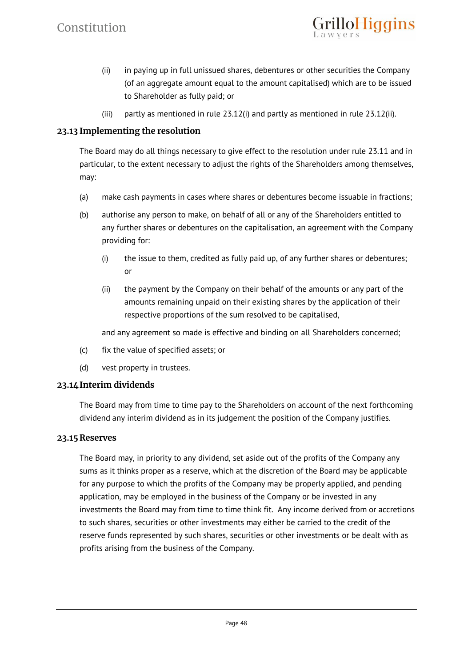(ii) in paying up in full unissued shares, debentures or other securities the Company (of an aggregate amount equal to the amount capitalised) which are to be issued to Shareholder as fully paid; or

illoHiggins

(iii) partly as mentioned in rule 23.12(i) and partly as mentioned in rule 23.12(ii).

# **23.13 Implementing the resolution**

The Board may do all things necessary to give effect to the resolution under rule 23.11 and in particular, to the extent necessary to adjust the rights of the Shareholders among themselves, may:

- (a) make cash payments in cases where shares or debentures become issuable in fractions;
- (b) authorise any person to make, on behalf of all or any of the Shareholders entitled to any further shares or debentures on the capitalisation, an agreement with the Company providing for:
	- (i) the issue to them, credited as fully paid up, of any further shares or debentures; or
	- (ii) the payment by the Company on their behalf of the amounts or any part of the amounts remaining unpaid on their existing shares by the application of their respective proportions of the sum resolved to be capitalised,

and any agreement so made is effective and binding on all Shareholders concerned;

- (c) fix the value of specified assets; or
- (d) vest property in trustees.

# **23.14Interim dividends**

The Board may from time to time pay to the Shareholders on account of the next forthcoming dividend any interim dividend as in its judgement the position of the Company justifies.

#### **23.15 Reserves**

The Board may, in priority to any dividend, set aside out of the profits of the Company any sums as it thinks proper as a reserve, which at the discretion of the Board may be applicable for any purpose to which the profits of the Company may be properly applied, and pending application, may be employed in the business of the Company or be invested in any investments the Board may from time to time think fit. Any income derived from or accretions to such shares, securities or other investments may either be carried to the credit of the reserve funds represented by such shares, securities or other investments or be dealt with as profits arising from the business of the Company.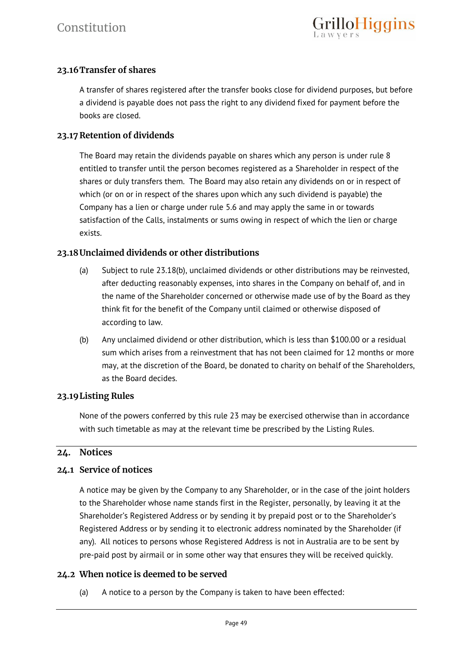# **23.16Transfer of shares**

A transfer of shares registered after the transfer books close for dividend purposes, but before a dividend is payable does not pass the right to any dividend fixed for payment before the books are closed.

#### **23.17 Retention of dividends**

The Board may retain the dividends payable on shares which any person is under rule 8 entitled to transfer until the person becomes registered as a Shareholder in respect of the shares or duly transfers them. The Board may also retain any dividends on or in respect of which (or on or in respect of the shares upon which any such dividend is payable) the Company has a lien or charge under rule 5.6 and may apply the same in or towards satisfaction of the Calls, instalments or sums owing in respect of which the lien or charge exists.

# **23.18Unclaimed dividends or other distributions**

- (a) Subject to rule 23.18(b), unclaimed dividends or other distributions may be reinvested, after deducting reasonably expenses, into shares in the Company on behalf of, and in the name of the Shareholder concerned or otherwise made use of by the Board as they think fit for the benefit of the Company until claimed or otherwise disposed of according to law.
- (b) Any unclaimed dividend or other distribution, which is less than \$100.00 or a residual sum which arises from a reinvestment that has not been claimed for 12 months or more may, at the discretion of the Board, be donated to charity on behalf of the Shareholders, as the Board decides.

# **23.19Listing Rules**

None of the powers conferred by this rule 23 may be exercised otherwise than in accordance with such timetable as may at the relevant time be prescribed by the Listing Rules.

#### **24. Notices**

#### **24.1 Service of notices**

A notice may be given by the Company to any Shareholder, or in the case of the joint holders to the Shareholder whose name stands first in the Register, personally, by leaving it at the Shareholder's Registered Address or by sending it by prepaid post or to the Shareholder's Registered Address or by sending it to electronic address nominated by the Shareholder (if any). All notices to persons whose Registered Address is not in Australia are to be sent by pre-paid post by airmail or in some other way that ensures they will be received quickly.

# **24.2 When notice is deemed to be served**

(a) A notice to a person by the Company is taken to have been effected: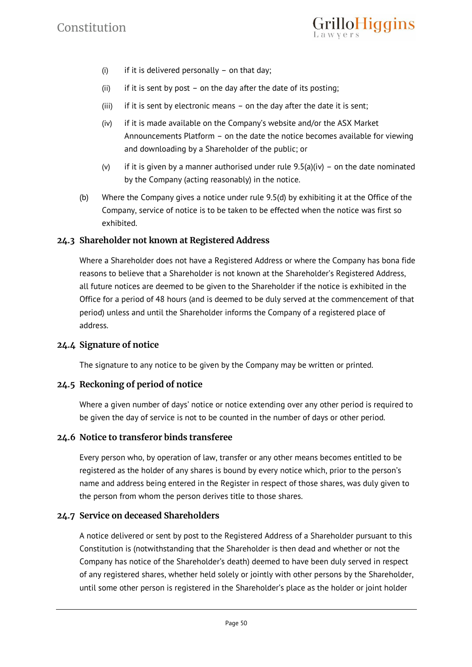

- (i) if it is delivered personally on that day;
- (ii) if it is sent by post on the day after the date of its posting;
- (iii) if it is sent by electronic means on the day after the date it is sent;
- (iv) if it is made available on the Company's website and/or the ASX Market Announcements Platform – on the date the notice becomes available for viewing and downloading by a Shareholder of the public; or
- (v) if it is given by a manner authorised under rule  $9.5(a)(iv)$  on the date nominated by the Company (acting reasonably) in the notice.
- (b) Where the Company gives a notice under rule 9.5(d) by exhibiting it at the Office of the Company, service of notice is to be taken to be effected when the notice was first so exhibited.

# **24.3 Shareholder not known at Registered Address**

Where a Shareholder does not have a Registered Address or where the Company has bona fide reasons to believe that a Shareholder is not known at the Shareholder's Registered Address, all future notices are deemed to be given to the Shareholder if the notice is exhibited in the Office for a period of 48 hours (and is deemed to be duly served at the commencement of that period) unless and until the Shareholder informs the Company of a registered place of address.

#### **24.4 Signature of notice**

The signature to any notice to be given by the Company may be written or printed.

# **24.5 Reckoning of period of notice**

Where a given number of days' notice or notice extending over any other period is required to be given the day of service is not to be counted in the number of days or other period.

#### **24.6 Notice to transferor binds transferee**

Every person who, by operation of law, transfer or any other means becomes entitled to be registered as the holder of any shares is bound by every notice which, prior to the person's name and address being entered in the Register in respect of those shares, was duly given to the person from whom the person derives title to those shares.

#### **24.7 Service on deceased Shareholders**

A notice delivered or sent by post to the Registered Address of a Shareholder pursuant to this Constitution is (notwithstanding that the Shareholder is then dead and whether or not the Company has notice of the Shareholder's death) deemed to have been duly served in respect of any registered shares, whether held solely or jointly with other persons by the Shareholder, until some other person is registered in the Shareholder's place as the holder or joint holder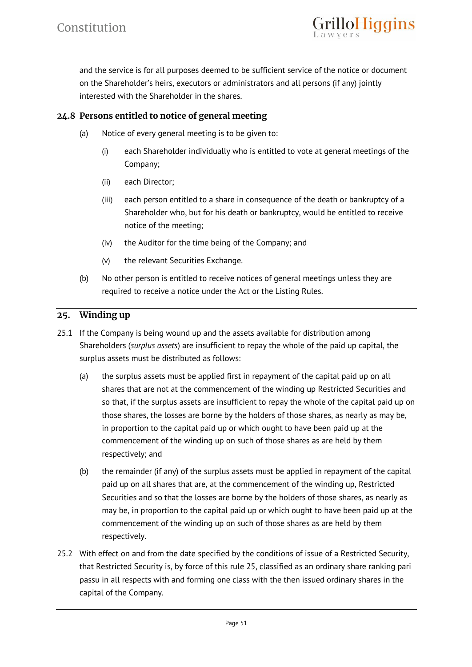

and the service is for all purposes deemed to be sufficient service of the notice or document on the Shareholder's heirs, executors or administrators and all persons (if any) jointly interested with the Shareholder in the shares.

# **24.8 Persons entitled to notice of general meeting**

- (a) Notice of every general meeting is to be given to:
	- (i) each Shareholder individually who is entitled to vote at general meetings of the Company;
	- (ii) each Director;
	- (iii) each person entitled to a share in consequence of the death or bankruptcy of a Shareholder who, but for his death or bankruptcy, would be entitled to receive notice of the meeting;
	- (iv) the Auditor for the time being of the Company; and
	- (v) the relevant Securities Exchange.
- (b) No other person is entitled to receive notices of general meetings unless they are required to receive a notice under the Act or the Listing Rules.

#### **25. Winding up**

- 25.1 If the Company is being wound up and the assets available for distribution among Shareholders (*surplus assets*) are insufficient to repay the whole of the paid up capital, the surplus assets must be distributed as follows:
	- (a) the surplus assets must be applied first in repayment of the capital paid up on all shares that are not at the commencement of the winding up Restricted Securities and so that, if the surplus assets are insufficient to repay the whole of the capital paid up on those shares, the losses are borne by the holders of those shares, as nearly as may be, in proportion to the capital paid up or which ought to have been paid up at the commencement of the winding up on such of those shares as are held by them respectively; and
	- (b) the remainder (if any) of the surplus assets must be applied in repayment of the capital paid up on all shares that are, at the commencement of the winding up, Restricted Securities and so that the losses are borne by the holders of those shares, as nearly as may be, in proportion to the capital paid up or which ought to have been paid up at the commencement of the winding up on such of those shares as are held by them respectively.
- 25.2 With effect on and from the date specified by the conditions of issue of a Restricted Security, that Restricted Security is, by force of this rule 25, classified as an ordinary share ranking pari passu in all respects with and forming one class with the then issued ordinary shares in the capital of the Company.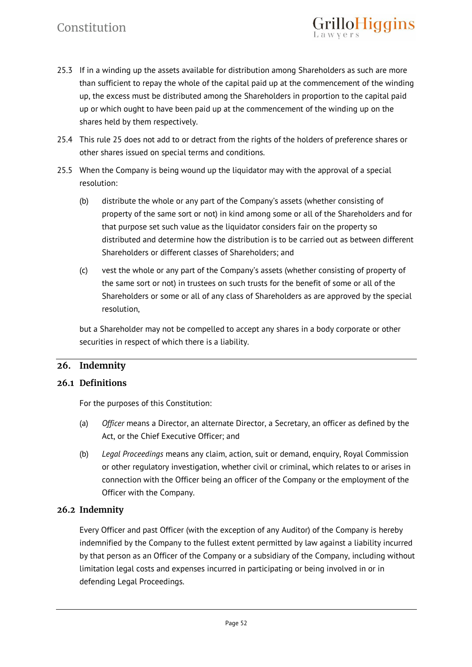# Constitution

25.3 If in a winding up the assets available for distribution among Shareholders as such are more than sufficient to repay the whole of the capital paid up at the commencement of the winding up, the excess must be distributed among the Shareholders in proportion to the capital paid up or which ought to have been paid up at the commencement of the winding up on the shares held by them respectively.

illoHiggins

- 25.4 This rule 25 does not add to or detract from the rights of the holders of preference shares or other shares issued on special terms and conditions.
- 25.5 When the Company is being wound up the liquidator may with the approval of a special resolution:
	- (b) distribute the whole or any part of the Company's assets (whether consisting of property of the same sort or not) in kind among some or all of the Shareholders and for that purpose set such value as the liquidator considers fair on the property so distributed and determine how the distribution is to be carried out as between different Shareholders or different classes of Shareholders; and
	- (c) vest the whole or any part of the Company's assets (whether consisting of property of the same sort or not) in trustees on such trusts for the benefit of some or all of the Shareholders or some or all of any class of Shareholders as are approved by the special resolution,

but a Shareholder may not be compelled to accept any shares in a body corporate or other securities in respect of which there is a liability.

# **26. Indemnity**

# **26.1 Definitions**

For the purposes of this Constitution:

- (a) *Officer* means a Director, an alternate Director, a Secretary, an officer as defined by the Act, or the Chief Executive Officer; and
- (b) *Legal Proceedings* means any claim, action, suit or demand, enquiry, Royal Commission or other regulatory investigation, whether civil or criminal, which relates to or arises in connection with the Officer being an officer of the Company or the employment of the Officer with the Company.

# **26.2 Indemnity**

Every Officer and past Officer (with the exception of any Auditor) of the Company is hereby indemnified by the Company to the fullest extent permitted by law against a liability incurred by that person as an Officer of the Company or a subsidiary of the Company, including without limitation legal costs and expenses incurred in participating or being involved in or in defending Legal Proceedings.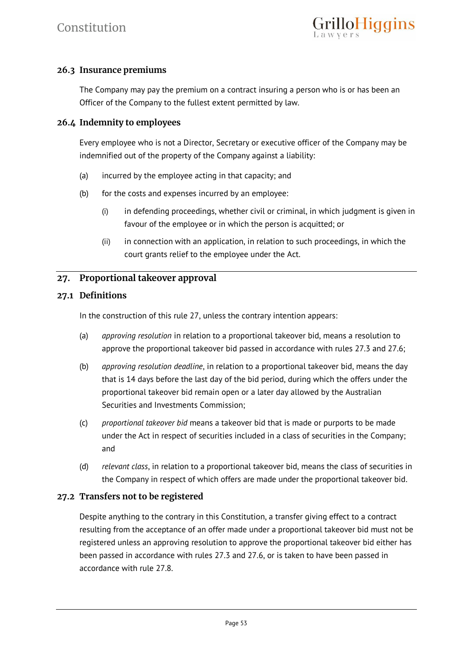# **26.3 Insurance premiums**

The Company may pay the premium on a contract insuring a person who is or has been an Officer of the Company to the fullest extent permitted by law.

#### **26.4 Indemnity to employees**

Every employee who is not a Director, Secretary or executive officer of the Company may be indemnified out of the property of the Company against a liability:

- (a) incurred by the employee acting in that capacity; and
- (b) for the costs and expenses incurred by an employee:
	- (i) in defending proceedings, whether civil or criminal, in which judgment is given in favour of the employee or in which the person is acquitted; or
	- (ii) in connection with an application, in relation to such proceedings, in which the court grants relief to the employee under the Act.

# **27. Proportional takeover approval**

#### **27.1 Definitions**

In the construction of this rule 27, unless the contrary intention appears:

- (a) *approving resolution* in relation to a proportional takeover bid, means a resolution to approve the proportional takeover bid passed in accordance with rules 27.3 and 27.6;
- (b) *approving resolution deadline*, in relation to a proportional takeover bid, means the day that is 14 days before the last day of the bid period, during which the offers under the proportional takeover bid remain open or a later day allowed by the Australian Securities and Investments Commission;
- (c) *proportional takeover bid* means a takeover bid that is made or purports to be made under the Act in respect of securities included in a class of securities in the Company; and
- (d) *relevant class*, in relation to a proportional takeover bid, means the class of securities in the Company in respect of which offers are made under the proportional takeover bid.

# **27.2 Transfers not to be registered**

Despite anything to the contrary in this Constitution, a transfer giving effect to a contract resulting from the acceptance of an offer made under a proportional takeover bid must not be registered unless an approving resolution to approve the proportional takeover bid either has been passed in accordance with rules 27.3 and 27.6, or is taken to have been passed in accordance with rule 27.8.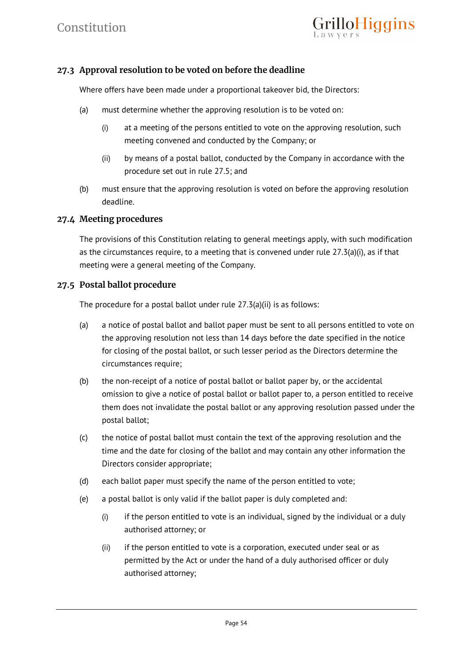

# **27.3 Approval resolution to be voted on before the deadline**

Where offers have been made under a proportional takeover bid, the Directors:

- (a) must determine whether the approving resolution is to be voted on:
	- (i) at a meeting of the persons entitled to vote on the approving resolution, such meeting convened and conducted by the Company; or
	- (ii) by means of a postal ballot, conducted by the Company in accordance with the procedure set out in rule 27.5; and
- (b) must ensure that the approving resolution is voted on before the approving resolution deadline.

#### **27.4 Meeting procedures**

The provisions of this Constitution relating to general meetings apply, with such modification as the circumstances require, to a meeting that is convened under rule  $27.3(a)(i)$ , as if that meeting were a general meeting of the Company.

#### **27.5 Postal ballot procedure**

The procedure for a postal ballot under rule 27.3(a)(ii) is as follows:

- (a) a notice of postal ballot and ballot paper must be sent to all persons entitled to vote on the approving resolution not less than 14 days before the date specified in the notice for closing of the postal ballot, or such lesser period as the Directors determine the circumstances require;
- (b) the non-receipt of a notice of postal ballot or ballot paper by, or the accidental omission to give a notice of postal ballot or ballot paper to, a person entitled to receive them does not invalidate the postal ballot or any approving resolution passed under the postal ballot;
- (c) the notice of postal ballot must contain the text of the approving resolution and the time and the date for closing of the ballot and may contain any other information the Directors consider appropriate;
- (d) each ballot paper must specify the name of the person entitled to vote;
- (e) a postal ballot is only valid if the ballot paper is duly completed and:
	- (i) if the person entitled to vote is an individual, signed by the individual or a duly authorised attorney; or
	- (ii) if the person entitled to vote is a corporation, executed under seal or as permitted by the Act or under the hand of a duly authorised officer or duly authorised attorney;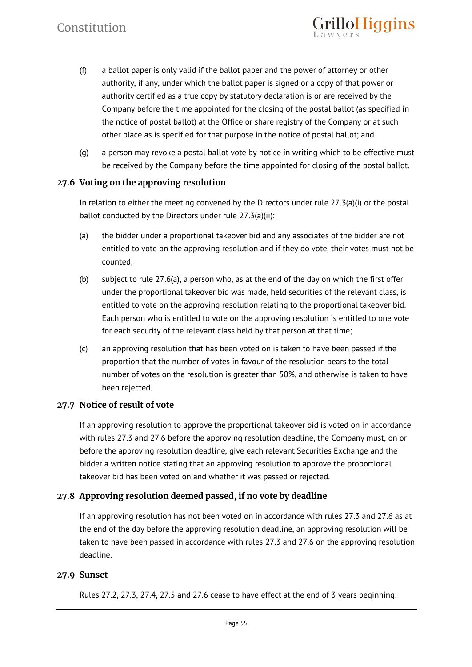(f) a ballot paper is only valid if the ballot paper and the power of attorney or other authority, if any, under which the ballot paper is signed or a copy of that power or authority certified as a true copy by statutory declaration is or are received by the Company before the time appointed for the closing of the postal ballot (as specified in the notice of postal ballot) at the Office or share registry of the Company or at such other place as is specified for that purpose in the notice of postal ballot; and

rilloHiggins

(g) a person may revoke a postal ballot vote by notice in writing which to be effective must be received by the Company before the time appointed for closing of the postal ballot.

# **27.6 Voting on the approving resolution**

In relation to either the meeting convened by the Directors under rule 27.3(a)(i) or the postal ballot conducted by the Directors under rule 27.3(a)(ii):

- (a) the bidder under a proportional takeover bid and any associates of the bidder are not entitled to vote on the approving resolution and if they do vote, their votes must not be counted;
- (b) subject to rule 27.6(a), a person who, as at the end of the day on which the first offer under the proportional takeover bid was made, held securities of the relevant class, is entitled to vote on the approving resolution relating to the proportional takeover bid. Each person who is entitled to vote on the approving resolution is entitled to one vote for each security of the relevant class held by that person at that time;
- (c) an approving resolution that has been voted on is taken to have been passed if the proportion that the number of votes in favour of the resolution bears to the total number of votes on the resolution is greater than 50%, and otherwise is taken to have been rejected.

# **27.7 Notice of result of vote**

If an approving resolution to approve the proportional takeover bid is voted on in accordance with rules 27.3 and 27.6 before the approving resolution deadline, the Company must, on or before the approving resolution deadline, give each relevant Securities Exchange and the bidder a written notice stating that an approving resolution to approve the proportional takeover bid has been voted on and whether it was passed or rejected.

# **27.8 Approving resolution deemed passed, if no vote by deadline**

If an approving resolution has not been voted on in accordance with rules 27.3 and 27.6 as at the end of the day before the approving resolution deadline, an approving resolution will be taken to have been passed in accordance with rules 27.3 and 27.6 on the approving resolution deadline.

# **27.9 Sunset**

Rules 27.2, 27.3, 27.4, 27.5 and 27.6 cease to have effect at the end of 3 years beginning: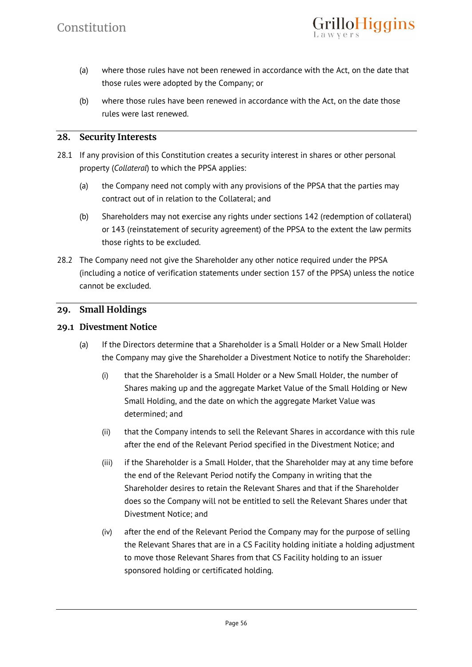

- (a) where those rules have not been renewed in accordance with the Act, on the date that those rules were adopted by the Company; or
- (b) where those rules have been renewed in accordance with the Act, on the date those rules were last renewed.

#### **28. Security Interests**

- 28.1 If any provision of this Constitution creates a security interest in shares or other personal property (*Collateral*) to which the PPSA applies:
	- (a) the Company need not comply with any provisions of the PPSA that the parties may contract out of in relation to the Collateral; and
	- (b) Shareholders may not exercise any rights under sections 142 (redemption of collateral) or 143 (reinstatement of security agreement) of the PPSA to the extent the law permits those rights to be excluded.
- 28.2 The Company need not give the Shareholder any other notice required under the PPSA (including a notice of verification statements under section 157 of the PPSA) unless the notice cannot be excluded.

#### **29. Small Holdings**

#### **29.1 Divestment Notice**

- (a) If the Directors determine that a Shareholder is a Small Holder or a New Small Holder the Company may give the Shareholder a Divestment Notice to notify the Shareholder:
	- (i) that the Shareholder is a Small Holder or a New Small Holder, the number of Shares making up and the aggregate Market Value of the Small Holding or New Small Holding, and the date on which the aggregate Market Value was determined; and
	- (ii) that the Company intends to sell the Relevant Shares in accordance with this rule after the end of the Relevant Period specified in the Divestment Notice; and
	- (iii) if the Shareholder is a Small Holder, that the Shareholder may at any time before the end of the Relevant Period notify the Company in writing that the Shareholder desires to retain the Relevant Shares and that if the Shareholder does so the Company will not be entitled to sell the Relevant Shares under that Divestment Notice; and
	- (iv) after the end of the Relevant Period the Company may for the purpose of selling the Relevant Shares that are in a CS Facility holding initiate a holding adjustment to move those Relevant Shares from that CS Facility holding to an issuer sponsored holding or certificated holding.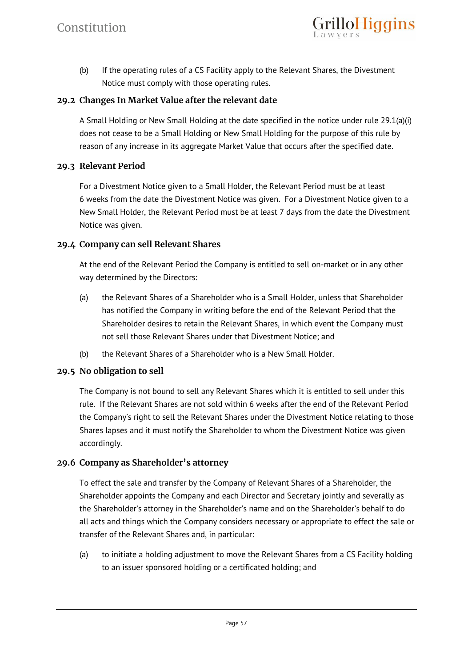

(b) If the operating rules of a CS Facility apply to the Relevant Shares, the Divestment Notice must comply with those operating rules.

#### **29.2 Changes In Market Value after the relevant date**

A Small Holding or New Small Holding at the date specified in the notice under rule 29.1(a)(i) does not cease to be a Small Holding or New Small Holding for the purpose of this rule by reason of any increase in its aggregate Market Value that occurs after the specified date.

#### **29.3 Relevant Period**

For a Divestment Notice given to a Small Holder, the Relevant Period must be at least 6 weeks from the date the Divestment Notice was given. For a Divestment Notice given to a New Small Holder, the Relevant Period must be at least 7 days from the date the Divestment Notice was given.

#### **29.4 Company can sell Relevant Shares**

At the end of the Relevant Period the Company is entitled to sell on-market or in any other way determined by the Directors:

- (a) the Relevant Shares of a Shareholder who is a Small Holder, unless that Shareholder has notified the Company in writing before the end of the Relevant Period that the Shareholder desires to retain the Relevant Shares, in which event the Company must not sell those Relevant Shares under that Divestment Notice; and
- (b) the Relevant Shares of a Shareholder who is a New Small Holder.

# **29.5 No obligation to sell**

The Company is not bound to sell any Relevant Shares which it is entitled to sell under this rule. If the Relevant Shares are not sold within 6 weeks after the end of the Relevant Period the Company's right to sell the Relevant Shares under the Divestment Notice relating to those Shares lapses and it must notify the Shareholder to whom the Divestment Notice was given accordingly.

# **29.6 Company as Shareholder's attorney**

To effect the sale and transfer by the Company of Relevant Shares of a Shareholder, the Shareholder appoints the Company and each Director and Secretary jointly and severally as the Shareholder's attorney in the Shareholder's name and on the Shareholder's behalf to do all acts and things which the Company considers necessary or appropriate to effect the sale or transfer of the Relevant Shares and, in particular:

(a) to initiate a holding adjustment to move the Relevant Shares from a CS Facility holding to an issuer sponsored holding or a certificated holding; and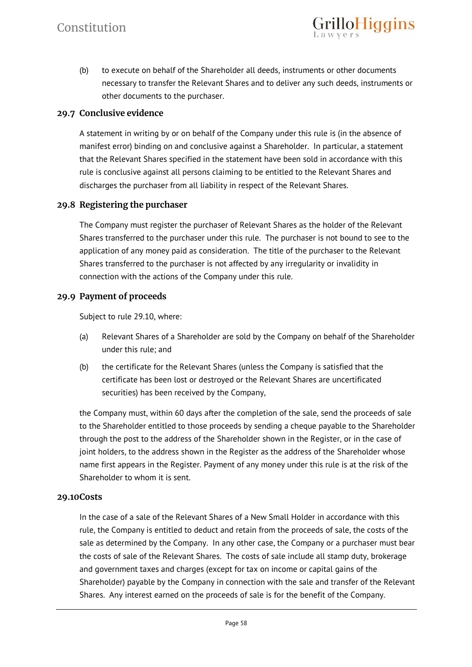(b) to execute on behalf of the Shareholder all deeds, instruments or other documents necessary to transfer the Relevant Shares and to deliver any such deeds, instruments or other documents to the purchaser.

rilloHiggins

#### **29.7 Conclusive evidence**

A statement in writing by or on behalf of the Company under this rule is (in the absence of manifest error) binding on and conclusive against a Shareholder. In particular, a statement that the Relevant Shares specified in the statement have been sold in accordance with this rule is conclusive against all persons claiming to be entitled to the Relevant Shares and discharges the purchaser from all liability in respect of the Relevant Shares.

#### **29.8 Registering the purchaser**

The Company must register the purchaser of Relevant Shares as the holder of the Relevant Shares transferred to the purchaser under this rule. The purchaser is not bound to see to the application of any money paid as consideration. The title of the purchaser to the Relevant Shares transferred to the purchaser is not affected by any irregularity or invalidity in connection with the actions of the Company under this rule.

#### **29.9 Payment of proceeds**

Subject to rule 29.10, where:

- (a) Relevant Shares of a Shareholder are sold by the Company on behalf of the Shareholder under this rule; and
- (b) the certificate for the Relevant Shares (unless the Company is satisfied that the certificate has been lost or destroyed or the Relevant Shares are uncertificated securities) has been received by the Company,

the Company must, within 60 days after the completion of the sale, send the proceeds of sale to the Shareholder entitled to those proceeds by sending a cheque payable to the Shareholder through the post to the address of the Shareholder shown in the Register, or in the case of joint holders, to the address shown in the Register as the address of the Shareholder whose name first appears in the Register. Payment of any money under this rule is at the risk of the Shareholder to whom it is sent.

#### **29.10Costs**

In the case of a sale of the Relevant Shares of a New Small Holder in accordance with this rule, the Company is entitled to deduct and retain from the proceeds of sale, the costs of the sale as determined by the Company. In any other case, the Company or a purchaser must bear the costs of sale of the Relevant Shares. The costs of sale include all stamp duty, brokerage and government taxes and charges (except for tax on income or capital gains of the Shareholder) payable by the Company in connection with the sale and transfer of the Relevant Shares. Any interest earned on the proceeds of sale is for the benefit of the Company.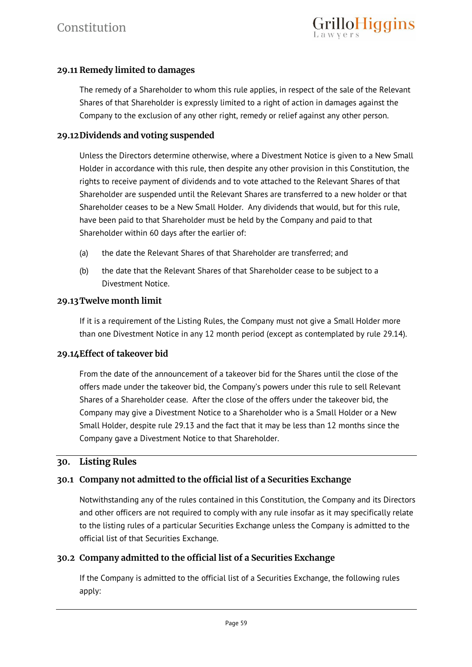# **29.11 Remedy limited to damages**

The remedy of a Shareholder to whom this rule applies, in respect of the sale of the Relevant Shares of that Shareholder is expressly limited to a right of action in damages against the Company to the exclusion of any other right, remedy or relief against any other person.

#### **29.12Dividends and voting suspended**

Unless the Directors determine otherwise, where a Divestment Notice is given to a New Small Holder in accordance with this rule, then despite any other provision in this Constitution, the rights to receive payment of dividends and to vote attached to the Relevant Shares of that Shareholder are suspended until the Relevant Shares are transferred to a new holder or that Shareholder ceases to be a New Small Holder. Any dividends that would, but for this rule, have been paid to that Shareholder must be held by the Company and paid to that Shareholder within 60 days after the earlier of:

- (a) the date the Relevant Shares of that Shareholder are transferred; and
- (b) the date that the Relevant Shares of that Shareholder cease to be subject to a Divestment Notice.

#### **29.13Twelve month limit**

If it is a requirement of the Listing Rules, the Company must not give a Small Holder more than one Divestment Notice in any 12 month period (except as contemplated by rule 29.14).

# **29.14Effect of takeover bid**

From the date of the announcement of a takeover bid for the Shares until the close of the offers made under the takeover bid, the Company's powers under this rule to sell Relevant Shares of a Shareholder cease. After the close of the offers under the takeover bid, the Company may give a Divestment Notice to a Shareholder who is a Small Holder or a New Small Holder, despite rule 29.13 and the fact that it may be less than 12 months since the Company gave a Divestment Notice to that Shareholder.

# **30. Listing Rules**

# **30.1 Company not admitted to the official list of a Securities Exchange**

Notwithstanding any of the rules contained in this Constitution, the Company and its Directors and other officers are not required to comply with any rule insofar as it may specifically relate to the listing rules of a particular Securities Exchange unless the Company is admitted to the official list of that Securities Exchange.

#### **30.2 Company admitted to the official list of a Securities Exchange**

If the Company is admitted to the official list of a Securities Exchange, the following rules apply: